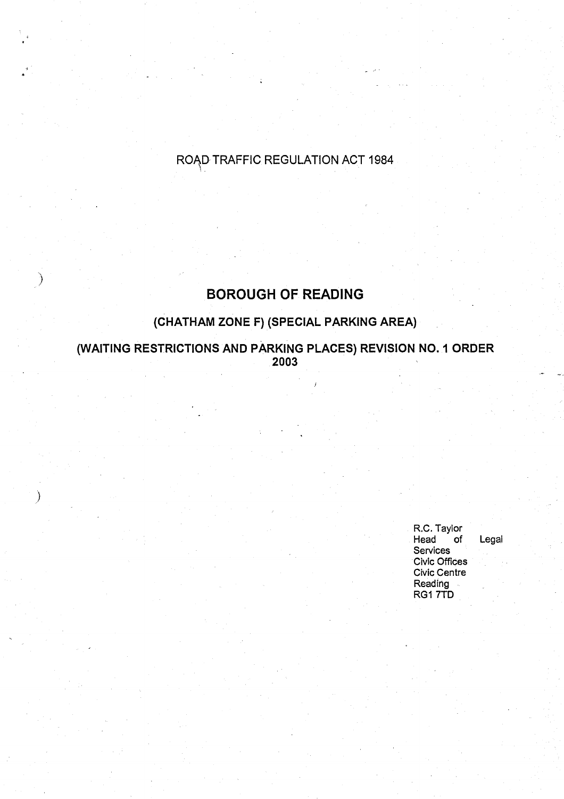# ROAD-TRAFFIC REGULATION ACT 1984

# **BOROUGH OF READING**

# **(CHATHAM ZONE F) (SPECIAL PARKING AREA)**

**(WAITING RESTRICTIONS AND PARKING PLACES) REVISION NO** . **I ORDER XKING PLACES) REVISION<br>2003** 

 $\mathcal{E}$ 

R.C. Taylor<br>Head of **Head of Legal Se**rv**ices Civic Offices Civic Centre Reading** RG1 7TD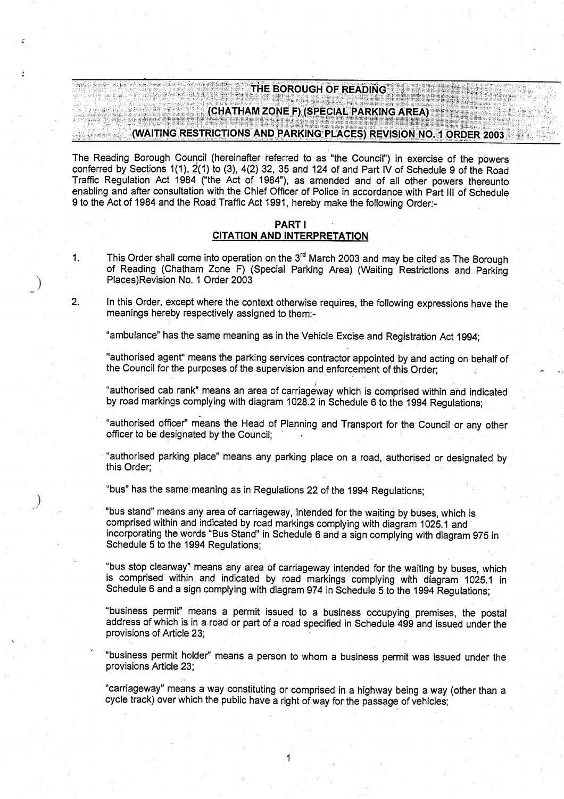# THE BOROUGH OF READING

# (CHATHAM ZONE F) (SPECIAL PARKING AREA )

# (WAITING RESTRICTIONS AND PARKING PLACES) REVISION **NO .** <sup>1</sup> **ORDER 2003**

The Reading Borough Council (hereinafter referred to as "the Council") in exercise of the powers conferred by Sections 1(1), 2'(1) to (3), 4(2) 32, 35 and 124 of and Part IV of Schedule 9 of the Road Traffic Regulation Act 1984 ("the Act of 1984"), **as amended** and of all other powers thereunto enabling and after consultation with the Chief Officer of Police in accordance with Part III of Schedule 9 to the Act of 1984 and the Road Traffic Act 1991, hereby make the following Order:-

# PART <sup>I</sup> **CITATION AND INTERPRETATION**

1. This Order shall come into operation on the 3<sup>rd</sup> March 2003 and may be cited as The Borough of Reading (Chatham Zone F) (Special Parking Area) (Waiting Restrictions and Parking Places)Revision No. 1 Order 2003

2. In this Order, except where the context otherwise requires, the following expressions have the meanings hereby respectively assigned to them:-

"ambulance" has the same meaning as in the Vehicle Excise and Registration Act 1994;

"authorised agent" means the parking services contractor appointed by and **acting** on behalf of the Council for the purposes of the supervision and enforcement of this Order;

"authorised cab rank" **means an area** of carriageway which is comprised within and indicated by road markings complying with diagram 1028.2 in Schedule 6 to the 1994 Regulations;

"authorised officer" means the Head of Planning and Transport for the Council or any other officer to be designated by the Council:

"authorised parking place" means any parking place on a road, authorised or designated by this Order;

"bus" has the same meaning as in Regulations 22 of the 1994 Regulations;

"bus stand" means any area of carriageway, intended for the waiting by buses, which is comprised within and indicated by road markings complying with diagram 1025 .1 and incorporating the words "Bus Stand" in Schedule 6 and a sign complying with diagram 975 in Schedule 5 to the 1994 Regulations;

"bus stop clearway" means any **area** of carriageway intended for the waiting by buses, which is comprised within and indicated by road markings complying with diagram 1025.1 in Schedule 6 and a sign complying with diagram 974 in Schedule 5 to the 1994 Regulations;

"business permit" **means a** permit issued **to a business** occupying premises, the postal address of which is in a road or part of a road specified in Schedule 499 and **issued** under the provisions of Article 23;

"business permit holder" means a person to whom a business permit was issued under-the provisions Article 23;

"carriageway" means a way constituting or comprised in a highway **being a** way (other than a cycle track) over which the public have a right of way for the **passage** of vehicles;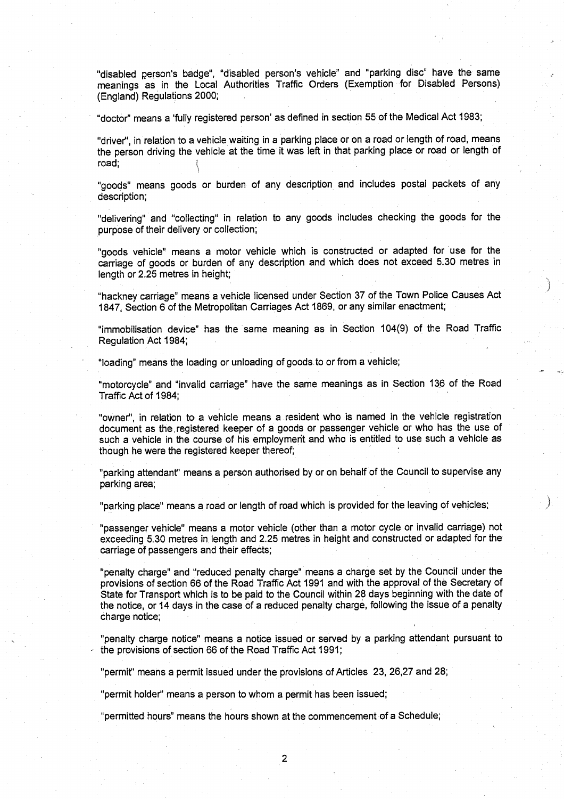"disabled person's badge", "disabled person's vehicle" and "parking disc" have the same meanings as in the Local Authorities Traffic Orders (Exemption for Disabled Persons) **(England**) **Regulations 2000 ;**

"doctor" means a 'fully registered person' as defined in section 55 of the Medical Act 1983;

"**driver"** , **in relation to a vehicle waiting in a parking place or on a road or length of road, means** the person driving the vehicle at the time it was left in that parking place or road or length of road:

"goods" means goods or burden of any description and includes postal packets of any description;

"delivering" and "collecting" in relation to any goods includes checking the goods for the purpose of their delivery or collection;

"goods vehicle" means a motor vehicle which is constructed or adapted for use for the carriage of goods or burden of any description and which does not exceed 5 .30 metres in length or 2.25 metres in height;

.,i

"hackney carriage" means a vehicle licensed under Section 37 of the Town Police Causes Act 1847, Section 6 of the Metropolitan Carriages Act 1869, or any similar enactment;

"immobilisation device" has the same meaning as in Section 104(9) of the Road Traffic Regulation Act 1984 ;

"loading" means the loading or unloading of goods to or from a vehicle;

"motorcycle" and "invalid carriage" have the same meanings as in Section 136 of the Road Traffic Act of 1984;

"owner", in relation to- a vehicle means a resident who is named in the vehicle registration **document as the, registered keeper of a goods or passenger vehicle or who has the use of** such a vehicle in the course of his employmerit and who is entitled to use such a vehicle as though he were the registered keeper thereof;

"parking attendant" means a person authorised by or on behalf of the Council to supervise any **parking area ;**

"parking place" means a road or length of road which is provided for the leaving of vehicles;

"passenger vehicle" means a motor vehicle (other than a motor cycle or invalid carriage) not exceeding 5.30 metres in length and 2.25 metres in height and constructed or adapted for the **carriage of passengers and their effects ;**

**"penalty charge** " **and "reduced penalty charge**" **means a charge set by the Council under the** provisions of section 66 of the Road Traffic Act 1991 and with the approval of the Secretary of State for Transport which is to be paid to the Council within 28 days beginning with the date of **the notice** , **or 14 days in the case of a reduced penalty charge** , **following the issue of a penalty charge notice;**

**"penalty charge notice**" **means a notice issued or served by a parking a** tt**endant pursuant to** the provisions of section 66 of the Road Traffic Act 1991 ;

"permit" means a permit issued under the provisions of Articles 23, 26,27 and 28;

"permit holder" means a person to whom a permit has been issued;

"permitted hours" means the hours shown at the commencement of a Schedule ;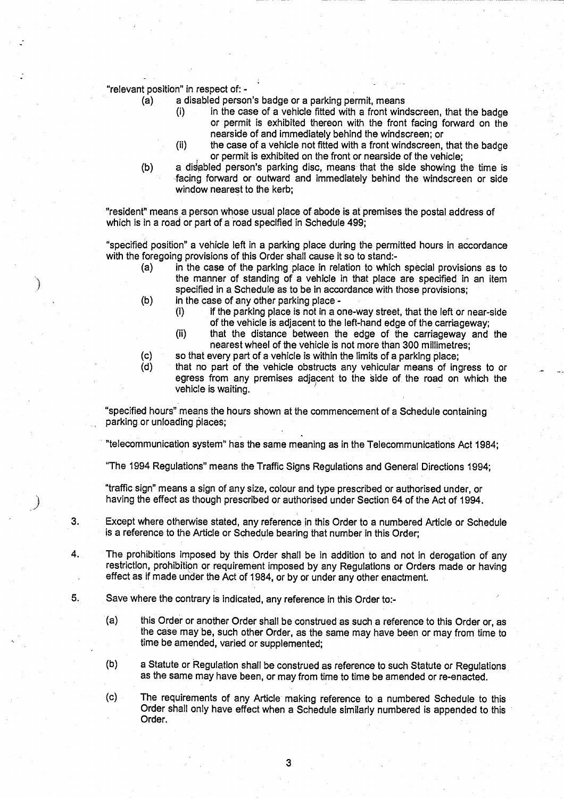**"relevant position" in respect of: -**

- **(a) a disabled person's badge or a parking permit, mean s**
	- **(i) in the case of a vehicle fitted with a front windscreen, that the badge or permit is exhibited thereon with the front facing forward on the nearside of and immediately behind the windscreen; or**
	- **(ii) the case of a vehicle not fitted with a front windscreen** , **that the badge or permit is exhibited on the front or nearside of the vehicle ;**
- **(b) a diabled person's parking disc, means that the side showing the time is -facing forward or outward and immediately behind the windscreen or side** window nearest to the kerb;

"resident" means a person whose usual place of abode is at premises the postal address of **which is in a road or part of a road specified in Schedule 499 ;**

**"specified position**" **a vehicle left in a parking place during the permitted hours in accordance with the foregoing provisions of this Order shall cause it so to stand :-**

- **(a) in the case of the parking place in relation to which special provisions as to the manner of standing of a vehicle in that place are specified in an item specified in a Schedule as to be in accordance with those provisions ;**
- **(b) in the case of any other parking place -**
	- **(i) if the parking place is not in a one-way street, that the left or near-side of the vehicle is adjacent to the left-hand edge of the carriageway;**
	- **(ii) that the distance between the edge of the carriageway and the nearest wheel of the vehicle is not more than 300 millimetres;**
- **(c) so that eve**ry **part of a vehicle is within the limits of a parking place ;**
- **(d) that no pa**rt **of the vehicle obstructs any vehicular means of ingress to or egress from any premises adjacent to the side of**, **the road on which the vehicle is waiting.**

**"specified** hours" means **the hours shown at the commencement of a Schedule containing parking or unloading places;**

**"telecommunication system** " **has the same meaning as in the Telecommunications Act 1984 ;**

**"The 1994 Regulations** " **means the Traffic Signs Regulations and General Directions 1994;**

**"traffic sign" means a sign of any size, colour and type prescribed or authorised under, or having the effect as though prescribed or authorised under Section 64 of the Act of 1994 .**

- **3. Except where otherwise stated, any reference in this Order to a numbered A** rt**icle or Schedule is a reference to the A**rt**icle or Schedule bearing that number in this Order ;**
- **4. The prohibitions imposed by this Order shall be in addition to and not in derogation of any restriction, prohibition or requirement imposed by any Regulations or Orders made or having effect as if made under the Act of 1984** , **or by or under any other enactment.**
- **5. Save where the contra**ry **is indicated, any reference in this Order to :-**
	- **(a) this Order or another Order shall be construed as such a reference to this Order or, as the case may be, such other Order**, **as the same may have been or may from time to time be amended** , **varied or supplemented ;**
	- **(b) a Statute or Regulation shall be construed as reference to such Statute or Regulations, as the same may have been** , **or may from time to time be amended or re** -**enacted.**
	- **(c) The requirements of any A** rt**icle making reference to a numbered Schedule to this Order shall only have effect when a Schedule similarly numbered is appended to this Order.**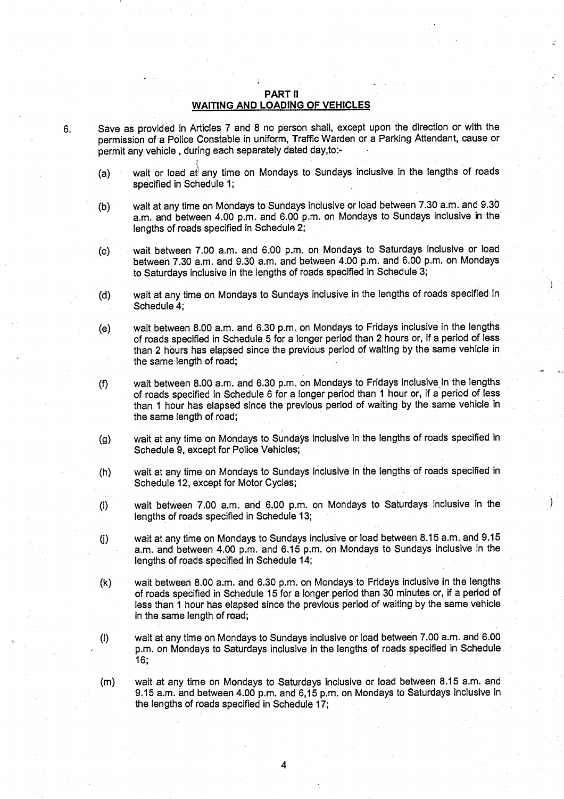# **PART II WAITING AND LOADING OF VEHICLES**

- **6. Save as provided in Articles 7 and 8 no person shall, except upon the direction or with the permission of a Police Constable in uniform, Traffic Warden or a Parking Attendant** , **cause or permit any vehicle** , **during each separately dated day,to :-**
	- (a) wait or load at any time on Mondays to Sundays inclusive in the lengths of roads **specified in Schedule 1 ;**
	- **(b) wait at any time on Mondays to Sundays inclusive or load between 7 .30 a.m . and 9.30 a.m . and between 4 .00 p**. **m. and 6**. **00 p.m**. **on Mondays to Sundays inclusive in the'** lengths of roads specified in Schedule 2;
	- **(c) wait between 7.00 a**. **m. and 6:00 p** . **<sup>m</sup> . on Mondays to Saturdays inclusive or load between 7**. **30 a.m**. **and 9.30 a.m . and between 4 .00 p.m. and 6**.**00 p .m** . **on Mondays to Saturdays inclusive in the lengths of roads specified in Schedule 3 ;**
	- **(d) wait at any time on Mondays to Sundays inclusive in the lengths of roads specified in Schedule 4 ;**
	- **(e) wait between 8.00 a**.**m. and 6**.**30 p.m**.. **on Mondays to Fridays inclusive in the lengths of roads specified in Schedule 5 for a longer period than 2 hours or, if a period of less than 2 hours has elapsed since the previous period of waiting by the same vehicle in the same- length of road;**
	- **(f) wait between 8 .00 a.m .** and **6.30 p**.**<sup>m</sup> . on Mondays to Fridays inclusive in the lengths of roads specified in Schedule 6 for a longer period than 1 hour or, if a period of less than 1 hour has elapsed since the previous period of waiting by the same** vehicle in **the same length of road ;**
	- **(g) wait at any time on Mondays to Sundays inclusive in the lengths of roads specified in Schedule 9, except for Police Vehicles ;**
	- **(h) wait at any** time, **on Mondays to Sundays** inclusive **in the lengths of roads specified in Schedule 12, except for Motor Cycles;**
	- **(i) wait between 7.00 a**.**<sup>m</sup> . and 6.00 p** . **<sup>m</sup> . on Mondays to Saturdays inclusive in the lengths of roads specified in Schedule 13 ;**
	- **Q) wait at any time on Mondays to Sundays inclusive or load between 8 .15 a.m . and 9.15 a.m. and between 4.00 p**.**m.. and 6.15 p.m. on Mondays to Sundays inclusive in the lengths of roads specified in Schedule 14 ;**
	- **(k) wait between 8 .00 a**.**m . and 6.30 p**.**m . on Mondays to Fridays inclusive in the lengths of roads specified in Schedule 15 for a longer period than 30 minutes or, if a period of less than 1 hour has elapsed since the previous period of waiting by the same vehicle** in the same length of road;
	- **(I) wait at any time on Mondays to Sundays inclusive or load between 7 .00 a.m. and 6.00 p.m . on Mondays to Saturdays** inclusive **in the lengths of roads specified in Schedule 16;**
	- **(m) wait at any time on** , **Mondays to Saturdays inclusive or load between 8 .15 a.m . and 9 .15 a.m**. **and between 4.00 p**.**m . and 6**,**15 p.m . on Mondays to Saturdays inclusive in the lengths of roads specified in Schedule 17;**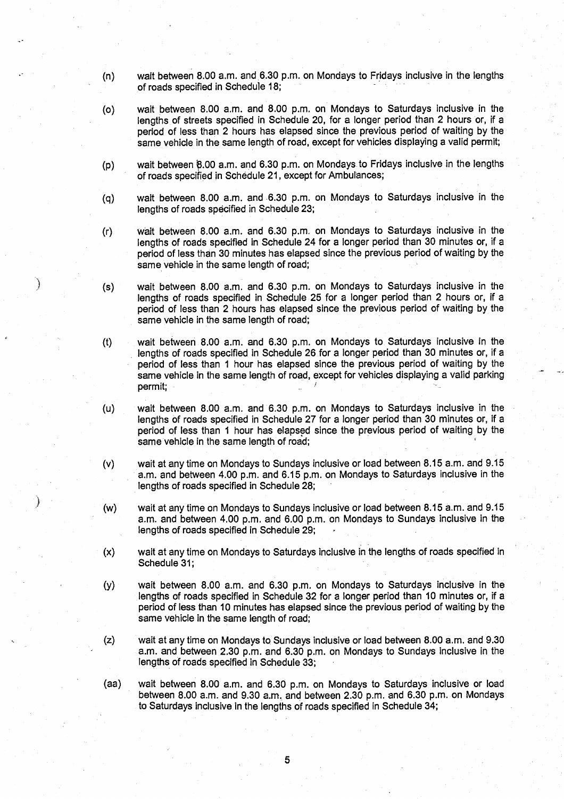- $(n)$  wait between 8.00 a.m. and 6.30 p.m. on Mondays to Fridays inclusive in the lengths of roads specified in Schedule 18;
- (o) wait between 8 .00 a.m . and 8.00 p.m . on Mondays to Saturdays inclusive in the lengths of streets specified in Schedule 20, for a longer period than 2 hours or, if a period of less than 2 hours has elapsed since the previous period of waiting by the same vehicle in the same length of road, except for vehicles displaying a valid permit;
- (p) wait between  $8.00$  a.m. and 6.30 p.m. on Mondays to Fridays inclusive in the lengths of roads specified in Schedule 21, except for Ambulances;
- (q) wait between 8 .00 a.m . and .6.30 p.m . on Mondays to Saturdays inclusive in the lengths of roads specified in Schedule 23;
- (r) wait between 8 .00 a.m . and 6.30 p.m . on Mondays to Saturdays inclusive in the lengths of roads specified in Schedule 24 for a longer period than 30 minutes or, if a period of less than 30 minutes has elapsed since the previous period of waiting by the same vehicle in the same length of road;
- (s) wait between 8.00 a.m . and 6.30 p.m . on Mondays to Saturdays inclusive in the lengths of roads specified in Schedule 25 for a longer period than 2 hours or, if a period of less than 2 hours has elapsed since the previous period of waiting by the same vehicle in the same length of road;

(t) wait between 8.00 a.m. and 6.30 p.m. on Mondays to Saturdays inclusive in the lengths of roads specified in Schedule 26 for a longer period than 30 minutes or, if a period of less than 1 hour has elapsed since the previous period of waiting by the same vehicle in the same length of road, except for vehicles displaying a valid parking permit;

- (u) wait between 8.00 a.m. and 6.30 p.m. on Mondays to Saturdays inclusive in the lengths of roads specified in Schedule 27 for a longer period than 30 minutes or, if a period of less than 1 hour has elapsed since the previous period of waiting by the same vehicle in the same length of road;
- (v) wait at any time on Mondays to Sundays inclusive or load between 8 .15 a.m. and 9.15 a.m. and between 4.00 p.m. and 6.15 p.m. on Mondays to Saturdays inclusive in the lengths of roads specified in Schedule 28;
- (w) wait at any time on Mondays to Sundays inclusive or load between 8 .15 a.m. and 9.15 <sup>a</sup> .m. and between 4 .00 p.m. and 6.00 p.m. on Mondays to Sundays inclusive in the lengths of roads specified in Schedule 29;
- (x) wait at any time on Mondays to Saturdays inclusive in the lengths of roads specified in Schedule 31;
- (y) wait between 8.00 a.m . and 6.30 p.m . on Mondays to Saturdays inclusive in the lengths of roads specified in Schedule 32 for a longer period than 10 minutes or, if a period of less than 10 minutes has **elapsed since** the previous period of waiting by the **same** vehicle in the same length of road;
- (z) wait at any time on Mondays to Sundays inclusive or load between 8 .00 a.m. and 9.30 a.m. and between 2.30 p.m. and 6.30 p.m. on Mondays to Sundays inclusive in the lengths of roads specified in Schedule 33;
- (aa) wait between 8.00 a.m . and 6.30 p.m. on Mondays to Saturdays inclusive or load between 8.00 a.m. and  $9.30$  a.m. and between  $2.30$  p.m. and  $6.30$  p.m. on Mondays to Saturdays inclusive in the lengths of roads specified in Schedule 34;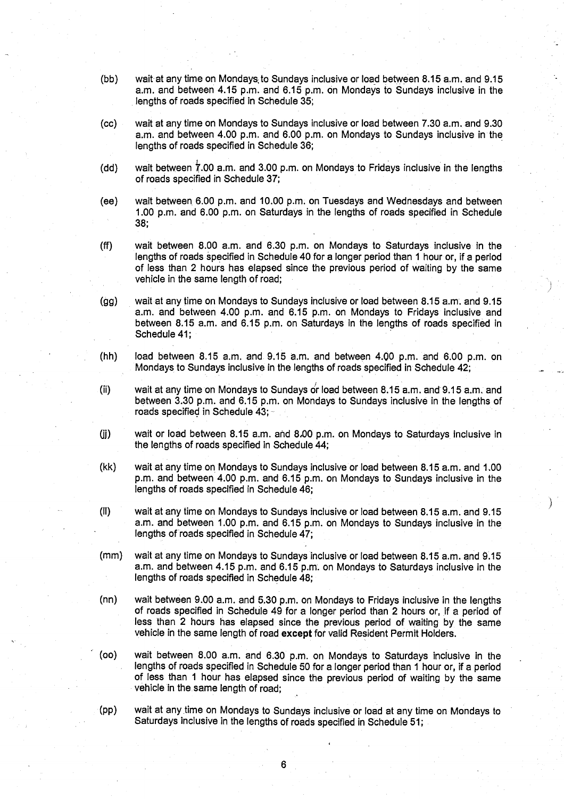- (bb) wait at any time on Mondays; to Sundays inclusive or load between 8 .15 a.m. and 9.15 a.m. and between 4.15 p.m. and 6.15 p.m. on Mondays to Sundays inclusive in the lengths of roads specified in Schedule 35;
- (cc) wait at any time on Mondays to Sundays inclusive or load between 7 .30 a.m . and 9.30 a.m. and between 4.00 p.m. and 6.00 p.m. on Mondays to Sundays inclusive in the lengths of roads specified in Schedule 36;
- (dd) wait between 7 .00 a.m . and 3.00 p.m . on Mondays to Fridays inclusive in the lengths of roads specified in Schedule 37;
- (ee) wait between. 6.00 p.m . and 10.00 p.m . on Tuesdays and Wednesdays and between <sup>1</sup> .00 p.m. and 6 .00 p.m . on Saturdays in the lengths of roads specified in Schedule 38;
- (ff) wait between 8.00 a.m. and 6.30 p.m. on Mondays to Saturdays inclusive in the lengths of roads specified in Schedule 40 for a longer period than 1 hour or, if a period of less than 2 hours has elapsed since the previous period of waiting by the same vehicle in the same length of road;
- (gg) wait at any time on Mondays to Sundays inclusive or load between 8 .15 a.m. and 9.15 a.m. and between 4.00 p.m. and 6.15 p.m. on Mondays to Fridays inclusive and between 8.15 a.m. and 6.15 p.m. on Saturdays in the lengths of roads specified in Schedule 41:
- $(hh)$  load between 8.15 a.m. and 9.15 a.m. and between 4.00 p.m. and 6.00 p.m. on Mondays to Sundays inclusive in the lengths of roads specified in Schedule 42;
- (ii) wait at any time on Mondays to Sundays or load between 8 .15 a.m. and-9 .15 a.m . and between 3 .30 p.m . and 6.15 p.m. on Mondays to Sundays inclusive in the lengths of roads specified in Schedule 43; -
- (j) wait or load between 8 .15 a.m. and 8,00 p.m. on Mondays to Saturdays inclusive in the lengths of roads specified in Schedule 44 ;
- (kk) wait at any time on Mondays to Sundays inclusive or load between 8 .15 a.m . and 1 .00 p.m. and between 4.00 p.m. and 6.15 p.m. on Mondays to Sundays inclusive in the lengths of roads specified in Schedule 46;
- (II) wait at any time on Mondays to Sundays inclusive or load between 8.15 a.m. and 9 .15 a.m. and between 1.00 p.m. and 6.15 p.m. on Mondays to Sundays inclusive in the lengths of roads specified in Schedule 47;
- (mm) wait at any time on Mondays to Sundays inclusive or load between 8 .15 a.m. and 9 .15 a.m. and between 4.15 p.m. and 6.15 p.m. on Mondays to Saturdays inclusive in the lengths of roads specified in Schedule 48;
- (nn) wait between 9.00 a.m. and 5.30 p.m. on Mondays to Fridays inclusive in the lengths of roads specified in Schedule 49 for a longer period than 2 hours or, if a period of less than 2 hours has elapsed since the previous period of waiting by the same vehicle in the same length of road except for valid Resident Permit Holders.
- (oo) wait between 8.00 a.m . and 6.30 p.m. on Mondays to Saturdays inclusive in the lengths of roads specified in Schedule 50 for a longer period than 1 hour or, if a period of less than 1 hour has elapsed since the previous period of waiting by the same vehicle in the same length of road;
- (pp) wait at any time on Mondays to Sundays inclusive or load at any time on Mondays to Saturdays inclusive in the lengths of roads specified in Schedule 51;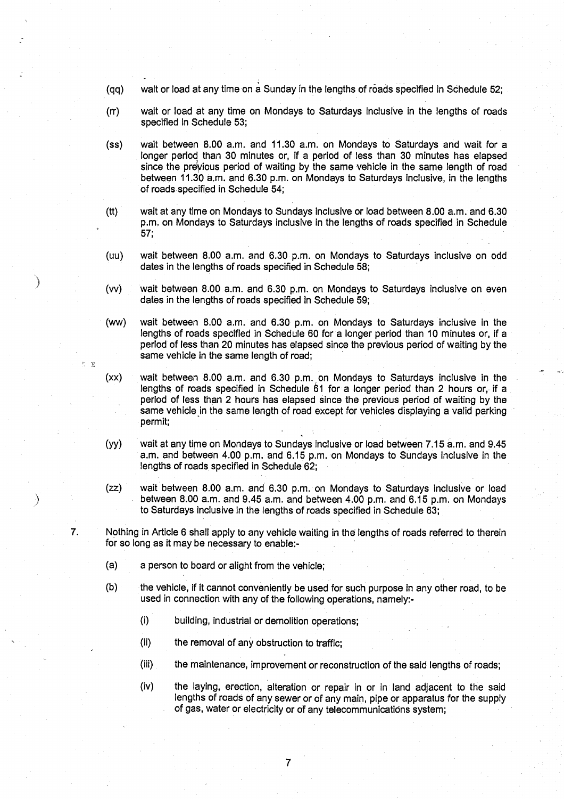- **(qq) wait or load at any time on a Sunday in the lengths of roads specified in Schedule 52 ;**
- **(rr) wait or load at any time on Mondays to Saturdays inclusive in the lengths of roads specified in Schedule 53 ;**
- **(ss) wait between 8.00 a.m . and 11 .30 a**. **m. on Mondays to Saturdays and wait for a longer period than 30 minutes or, if a period of less than 30 minutes has elapsed since the previous period of waiting by the same vehicle in the same length of road between 11** . **30 a.m**. **and 6** . **30 p.m**. **on Mondays to Saturdays inclusive** , **in the lengths of roads specified in Schedule 54 ;**
- **(tt) wait at any time on Mondays to Sundays inclusive or load between 8 .00 a**. **m . and 6 .30 p.m. on Mondays to Saturdays inclusive in the lengths of roads specified in Schedule** 57;
- **(uu) wait between 8 .00 a**. **m. and 6**. **30 p.m** . **on Mondays to Saturdays inclusive on odd dates in the lengths of roads specified in Schedule 58 ;**
- **(vv) wait between 8 .00 a**. **m. and 6.30 p .m** . **on Mondays to Saturdays inclusive on even dates in the lengths of roads specified in Schedule 59 ;**
- **(ww) wait between 8 .00 a**.**<sup>m</sup> . and 6.30 p.m** . **on Mondays to Saturdays inclusive in the lengths of roads specified in Schedule 60 for a longer period than 10 minutes or, if a period of less than 20 minutes has elapsed since the previous period of waiting by the same vehicle in the same length of road;**
- **(xx) wait between 8.00 a.m . and 6**. **30 p.m** . **on Mondays to Saturdays inclusive in the** lengths of roads specified in Schedule 61 for a longer period than 2 hours or, if a **period of less than 2 hours has elapsed since the previous period of waiting by the same** vehicle in **the same length of road except for vehicles displaying a valid parking permit;**
- (yy) wait at any **time on Mondays to Sundays inclusive or load between 7 .15 a.m**. **and 9.45 a.m. and between 4 .00 p**. **m. and 6.15 p**.**m . on Mondays to Sundays inclusive in the** lengths of roads specified in Schedule 62;
- **(zz) wait between 8 .00 a**. **m. and 6** . **30 p .m** . **on Mondays to Saturdays inclusive or load between 8.00 a**. **m. and 9.45 a**.**m. and between 4 .00 p**. **m. and 6.15 p.m** . **on Mondays to Saturdays inclusive in the lengths of roads specified in Schedule 63 ;**

**7. Nothing in Article 6 shall apply to any vehicle waiting in the lengths of roads referred to therein for so long as it may be necessary to enable:-**

- **(a) a person to board or alight from the vehicle ;**
- **(b) the vehicle**, **if it cannot conveniently be used for such purpose in any other road, to be used in connection with any of the following operations** , **namely:-**
	- **(i) building** , **industrial or demolition operations;**
	- **(ii) the removal of any obstruction to traffic ;**
	- **(iii) the maintenance**, **improvement or reconstruction of the said lengths of roads ;**
	- **(iv) the laying, erection, alteration or repair in or in land adjacent to the said lengths of roads of any sewer or of any main, pipe or apparatus for the supply of gas, water or electricity or of any telecommunications system ;**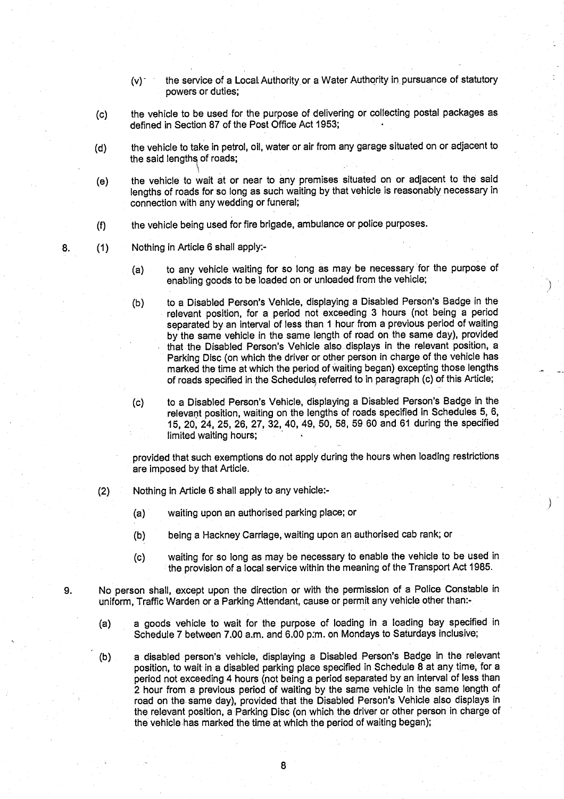- (v) the service of a Local; Authority or a Water Authority in pursuance of statutory powers or duties;
- (c) the vehicle to be used for the purpose of delivering or collecting postal packages as defined in Section 87 of the Post Office Act 1953;
- (d) the vehicle to take in petrol, oil, water or air from any garage situated on or adjacent to the said lengths of roads;
- (e) the vehicle to wait at or near to any premises situated on or adjacent to the said lengths of roads for so long as such waiting by that vehicle is reasonably necessary in connection with any wedding or funeral;
- (f) the vehicle being used for fire brigade, ambulance or police purposes .
- 8. (1) Nothing in Article 6 shall apply:-
	- (a) to any vehicle waiting for so long as may be necessary for the purpose of enabling goods to be loaded on or unloaded from the vehicle;
	- (b) to a Disabled Person's Vehicle, displaying a Disabled Person's Badge in the relevant position, for a period not exceeding 3 hours (not being a period separated by an interval of less than 1 hour from a previous period of waiting by the same vehicle in the same length of road on the same day), provided that the Disabled Person's Vehicle also displays in the relevant position, a Parking Disc (on which the driver or other person in charge of the vehicle has marked the time at which the period of waiting began) excepting those lengths of roads specified in the Schedules, referred to in paragraph (c) of this Article ;
	- (c) to a Disabled Person's Vehicle, displaying a Disabled Person's Badge in the relevant position, waiting on the lengths of roads specified in Schedules 5, 6, 15, 20, 24, 25, 26, 27, 32, 40, 49, 50, 58, 59 60 and 61 during the specified limited waiting hours;

provided that such exemptions do not apply during the hours when loading restrictions are imposed by that Article.

- (2) Nothing in Article 6 shall apply to any vehicle :-
	- (a) waiting upon an authorised parking place; or
	- (b) being a Hackney Carriage, waiting upon an authorised cab rank; or
	- (c) waiting for so long as may be necessary to enable the vehicle to be used in the provision of a local service within the meaning of the Transport Act 1985.
- 9. No person shall, except upon the direction or with the permission of a Police Constable in uniform, Traffic Warden or a Parking Attendant, cause or permit any vehicle other than:-
	- (a) a goods vehicle to wait for the purpose of loading in a loading bay specified in Schedule 7 between 7.00 a.m. and 6.00 p.m. on Mondays to Saturdays inclusive;
	- (b) a disabled person's vehicle, displaying a Disabled Person's Badge in the relevant position, to wait in a disabled parking place specified in Schedule 8 at any time, for a period not exceeding 4 hours (not being a period separated by an interval of less than 2 hour from a previous period of waiting by the same vehicle in the same length of road on the, same day), provided that the Disabled Person's Vehicle also displays in the relevant position, a Parking Disc (on which the driver or other person in charge of the vehicle has marked the time at which the period of waiting began);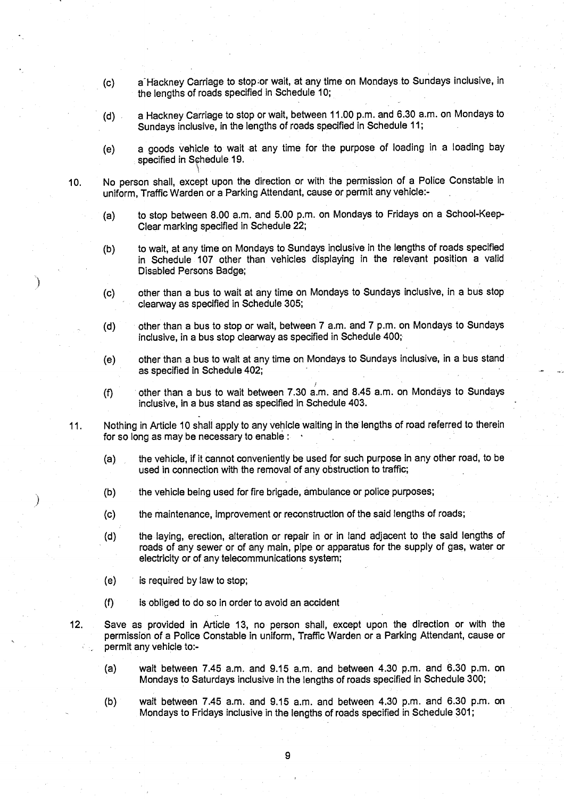- **(c) a Hackney Carriage to stop ;or wait, at any time on Mondays to Sundays inclusive, in the lengths of roads specified in Schedule 10 ;**
- **(d) a Hackney Carriage to stop or wait, between 11** . **00 p.m**. **and 6** . **30 a.m. on Mondays to Sundays inclusive, in the lengths of roads specified in Schedule 11 ;**
- **(e) a goods vehicle to wait at any time for the purpose of loading in a loading bay** specified in Schedule 19.
- **10. No person shall, except upon the direction or with the permission of a Police Constable in uniform, Traffic Warden or a Parking Attendant** , **cause or permit any vehicle :-**
	- **(a) to stop between 8 .00 a**. **m. and 5**.**00 p.m**. **on Mondays to Fridays on a School-Keep-Clear marking specified in Schedule 22 ;**
	- **(b) to wait, at any time on Mondays to Sundays inclusive in the lengths of roads specified in Schedule 107 other than vehicles displaying in the relevant position a valid Disabled Persons Badge;**
	- **(c) other than a bus to wait at any time on Mondays to Sundays inclusive, in a bus stop clearway as specified in Schedule 305 ;**
	- **(d) other than a bus to stop or wait, between 7 a .m. and 7 p.m. on Mondays to Sundays inclusive** , **in a bus stop clearway as specified in Schedule 400 ;**
	- **(e) other than a bus to wait at any time on Mondays to Sundays inclusive** , **in a bus stand as specified in Schedule 402 ;**
	- **(f) other than a bus to wait between 7.30 a**. **m. and 8**. **45 a.m** . **on Mondays to Sundays inclusive, in a bus stand as specified in Schedule 403 .**
- **11 . Nothing in Article 10 shall apply to any vehicle waiting in the lengths of road referred to therein for so long as may be necessa**ry **to enable**
	- **(a) the vehicle**, **if it cannot conveniently be used for such purpose in any other road, to be used in connection with the removal of any obstruction to traffic;**
	- **(b) the vehicle being used for fire brigade** , **ambulance or police purposes;**
	- **(c) the maintenance, improvement or reconstruction of the said lengths of roads ;**
	- **(d) the** laying, **erection, alteration or repair in or in land adjacent to the said lengths of roads of any sewer or of any main** , **pipe or apparatus for the supply of gas** , **water or electricity or of any telecommunications system ;**
	- **(e) is required by law to stop;**
	- **(f) is obliged to do so in order to avoid an accident**
- **12. Save as provided in A**rt**icle 13**, **no person shall, except upon the direction or with the permission of a Police Constable in uniform** , **Traffic Warden or a Parking Attendant, cause or permit any vehicle to:-**
	- **(a) wait between 7 .45 a**.**<sup>m</sup> . and 9**. **15 a.m . and between 4 .30 p.m. and 6.30 p.m. on Mondays to Saturdays inclusive in the lengths of roads specified in Schedule 300 ;**
	- **(b) wait between 7.45 a**.**m. and 9**. **15 a.m. and between 4.30 p**.**<sup>m</sup> . and 6.30 p.m. on Mondays to Fridays inclusive in the lengths of roads specified in Schedule 301 ;**

**9**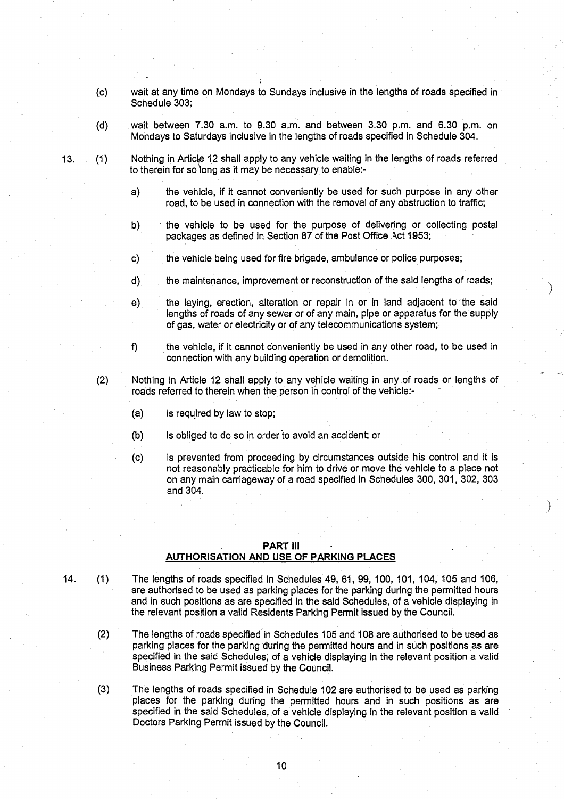- **(c) wait at any time on Mondays to Sundays inclusive in the lengths of roads specified in** Schedule 303:
- (d) wait between 7.30 a.m. to 9.30 a.m. and between 3 .30 p.m. and 6.30 p.m. on **Mondays to Saturdays inclusive in the lengths of roads specified in Schedule 304.**

13. (1) Nothing in Article 12 shall apply to any vehicle waiting in the lengths of roads referred **to therein for so long as it may be necessa**ry **to enable:-**

- a) the vehicle, if it cannot conveniently be used for such purpose in any other road, to be used in connection with the removal of any obstruction to traffic;
- **b) the vehicle to be used for the purpose of delivering or collecting postal packages as defined in Section 87 of the Post Office .Act 1953 ;**
- **c) the vehicle being used for fire brigade** , **ambulance or police purposes ;**
- d) the maintenance, improvement or reconstruction of the said lengths of roads;
- **e) the laying**, **erection, alteration or repair in or in land adjacent to the said lengths of roads of any sewer or of any main**, **pipe or apparatus for the supply of gas, water or electricity or of any telecommunications system ;**
- **f) the vehicle**, **if it cannot conveniently be used in any other road** , **to be used in connection with any building operation or demolition .**
- (2) Nothing in Article 12 shall apply to any vehicle waiting in any .of roads or lengths of **roads referred to therein when the person in control of** th**e vehicle:-**
	- **(a) is required by law to stop;**
	- **(b) is obliged to do so in order to avoid an accident; or**
	- (c) is prevented from proceeding by circumstances outside his control and it is **not reasonably practicable for him to drive or move the vehicle to a place not** on any main carriageway of a road specified in Schedules 300, 301, 302, 303 and 304.

## PART III **AUTHORISATION AND USE OF PARKING PLACES**

- 14. (1) The lengths of roads specified in Schedules 49, 61, 99, 100, 101, 104, 105 and 106, **are authorised to be used as parking places for the parking during the permitted hours and in such positions as are specified in the said Schedules** , **of a vehicle displaying in the relevant position a valid Residents Parking Permit issued by the Council .**
	- **(2) The lengths of roads specified in Schedules 105 and 108 are authorised to be used as parking places for the parking during the permitted hours and in such positions as are specified in the said Schedules** , **of a vehicle displaying in the relevant** position a **valid Business Parking Permit issued by the Council .**
	- **(3) The lengths of roads specified in Schedule 102 are authorised to be used as parking places for the parking during the permitted hours and in such positions as are specified in the said Schedules**, **of a vehicle displaying in the relevant position a valid Doctors Parking Permit issued by the Council .**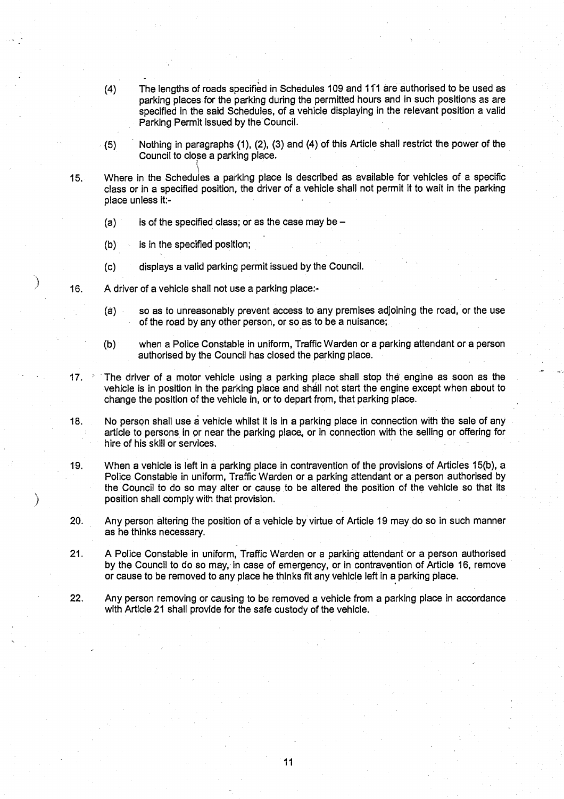- (4) The lengths of roads specified in Schedules 109 and 111 are authorised to be used as parking places for the parking during the permitted hours and in such positions as are specified in the said Schedules, of a vehicle displaying in the relevant position a valid Parking Permit issued by the Council.
- (5) Nothing in paragraphs (1), (2), (3) and (4) of this Article shall restrict the power of the Council to close a parking place.
- 15. Where in the Schedules a parking place is described as available for vehicles of a specific class or in a specified position, the driver of a vehicle shall not permit it to wait in the parking **place unless it:-**
	- (a) is of the specified class; or as the case may be  $-$
	- (b) is in the specified position;
	- (c) displays a valid parking permit issued by the Council .
- 16. A driver of a vehicle shall not use a parking place:-
	- **(a) so as to** unreasonably prevent access to any premises adjoining the road, or the use of the road by any other person, or so as to be a nuisance;
	- (b) when a Police Constable in uniform, Traffic Warden or a parking attendant or a person authorised by the Council has closed the parking place.
- 17.  $\rightarrow$  The driver of a motor vehicle using a parking place shall stop the engine as soon as the vehicle is in position in the parking place and shall not start the engine except when about to change the position of the vehicle in, or to depart from, that parking place.
- 18. No person shall use a vehicle whilst it is in a parking place in connection with the sale of any article to persons in or near the parking place. or in connection with the selling or offering for hire of his skill or services .
- 19. When a vehicle is left in a parking place in contravention of the provisions of Articles 15(b), a Police Constable in uniform, Traffic Warden or a parking attendant or a person authorised by the Council to do so may alter or cause to be altered the position of the vehicle so that its position shall comply with that provision .
- 20. Any person altering the position of a vehicle by virtue of Article 19 may do so in such manner as he thinks necessary.
- 21 . A Police Constable in uniform, Traffic Warden or a parking attendant or a person authorised by the Council to do so may, in case of emergency, or in contravention of Article 16, remove or cause to be removed to any place he thinks fit any vehicle left in a parking place .
- 22. Any person removing or causing to be removed a vehicle from a parking place in accordance with Article 21 shall provide for the safe custody of the vehicle.

11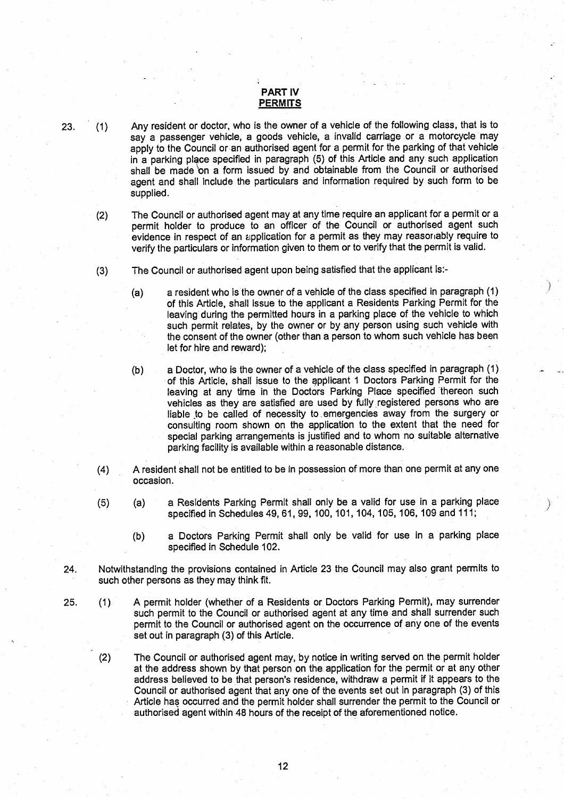# PART IV **PERMITS**

23. (1) Any resident or doctor, who is the owner of a vehicle of the following class, that is to say a passenger vehicle, a goods vehicle, a invalid carriage or a motorcycle may apply to the Council or an authorised agent for a permit for the parking of that vehicle in a parking place specified in paragraph (5) of this Article and any such application shall be made on a form issued by and obtainable from the Council or authorised agent and shall include the particulars and information required by such form to be supplied.

(2) The Council or authorised agent may at any time require an applicant for a permit or a permit holder to produce to an officer of the Council or authorised agent such evidence in respect of an application for a permit as they may reasonably require to verify the particulars or information given to them or to verify that the permit is valid.

- (3) The Council or authorised agent upon being satisfied that the applicant is :-
	- (a) a resident who is the owner of a vehicle of the class specified in paragraph (1) of this Article, shall issue to the applicant a Residents Parking Permit for the leaving during the permitted hours in a parking place of the vehicle to which such permit relates, by the owner or by any person using such vehicle with the consent of the owner (other than a person to whom such vehicle has been let for hire and reward);

(b) a Doctor, who is the owner of a vehicle of the class specified in paragraph (1) of this Article, shall issue to the applicant I Doctors Parking Permit for the leaving at any time in the Doctors Parking Place specified thereon such vehicles as they are satisfied are used by fully registered persons who are liable to be called of necessity to emergencies away from the surgery or consulting room shown on the application to the extent that the need for special parking arrangements is justified and to whom no suitable alternative parking facility is available within a reasonable distance.

- (4) A resident shall not be entitled to be in possession of more than one permit at any one occasion .
- (5) (a) a Residents Parking Permit shall only be a valid for use in a parking place specified in Schedules 49, 61, 99, 100, 101, 104, 105, 106, 109 and 111;
	- (b) a Doctors Parking Permit shall only be valid for use in a parking place specified in Schedule 102.
- 24. Notwithstanding the provisions contained in Article 23 the Council may also grant permits to such other persons as they may think fit.

25. (1) A permit holder (whether of a Residents or Doctors Parking Permit), may surrender such permit to the Council or authorised agent at any time and shall surrender such permit to the Council or authorised agent on the occurrence of any one of the events set out in paragraph (3) of this Article .

(2) The Council or authorised **agent** may, by notice in writing served on the permit holder at the address shown by that person on the application for the permit or at any other address believed to be that person's residence, withdraw a permit if it appears to the Council or authorised agent that any one of the events set out in paragraph (3) of this Article has occurred and the permit holder shall surrender the permit to the Council or authorised agent within 48 hours of the receipt of the aforementioned notice .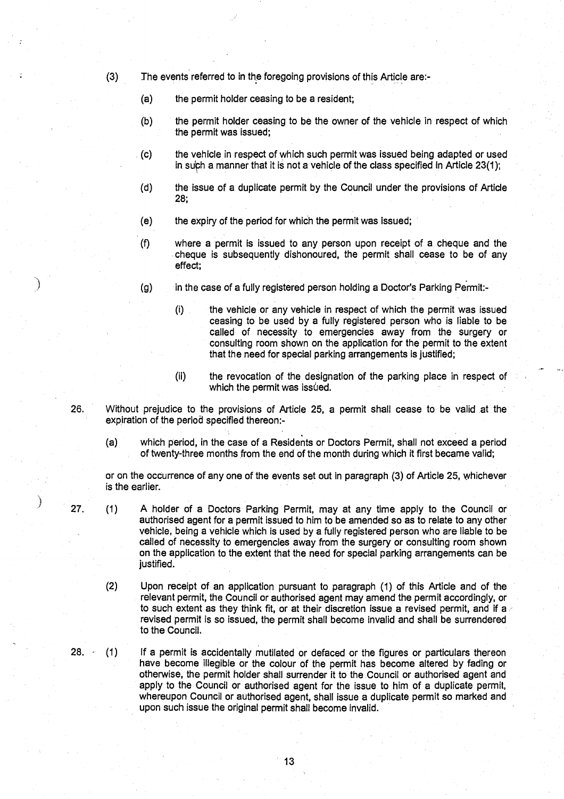- (3) The events referred to in the foregoing provisions of this Article are:-
	- (a) the permit holder ceasing to be a resident;
	- (b) the permit holder ceasing to be the owner of the vehicle in respect of which the permit **was issued;**
	- (c) the vehicle in respect of which such permit was issued being adapted or used in such a manner that it is not a vehicle of the class specified in Article  $23(1)$ ;
	- (d) the issue of a duplicate permit by the Council under the provisions of Article 28;
	- $(e)$  the expiry of the period for which the permit was issued;
	- (f) where a permit is issued to any person upon receipt of a cheque and the cheque is subsequently dishonoured, the permit shall cease to be of any effect;
	- (g) in the case of a fully registered person holding a Doctor's Parking Permit:-
		- (i) the vehicle or any vehicle in respect of which the permit was issued ceasing to be used by a fully registered person who is liable to be called of necessity to emergencies away from the surgery or consulting room shown on the application for the permit to the extent that the need for special parking arrangements is justified;
		- (ii) the revocation of the designation of the parking place in respect of which the permit was *issued*.
- 26 . Without prejudice to the provisions of Article 25, a permit shall cease to be valid at the expiration of the period specified thereon:-
	- (a) which period, in the case of a Residents or Doctors Permit, shall not exceed a period of twenty-three months from the end of the month during which it first became valid;

or on the occurrence of any one of the events set out in paragraph (3) of Article 25, whichever is the earlier.

- 27. (1) A holder of a Doctors Parking Permit, may at any time apply to the Council or authorised agent for a permit issued to him to be amended so as to relate to any other vehicle, being a vehicle which is used by a fully registered person who are liable to be called of necessity to emergencies away from the surgery or consulting room shown on the application to the extent that the need for special parking arrangements can be justified.
	- (2) Upon receipt of an application pursuant to paragraph (1) of this Article and of the relevant permit, the Council or authorised agent may amend the permit accordingly, or to such extent as they think fit, or at their discretion issue a revised permit, and if a revised permit is so issued, the permit shall become invalid and shall be surrendered to the Council.
- 28. (1) If a permit is accidentally mutilated or defaced or the figures or particulars thereon have become illegible or the colour of the permit has become altered by fading or otherwise, the permit holder shall surrender it to the .Council or authorised agent and apply to the Council or authorised agent for the issue to him of a duplicate permit, whereupon Council or authorised **agent**, **shall issue a** duplicate permit so marked and upon such issue the original permit shall become invalid.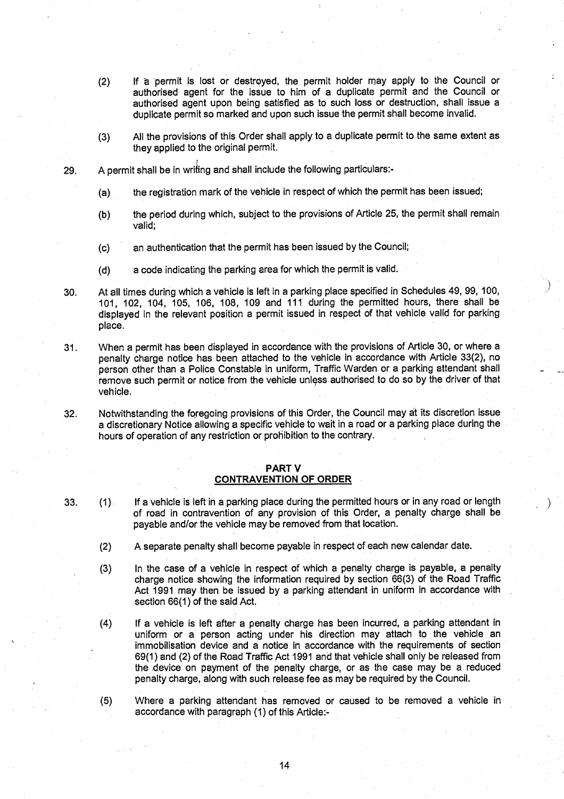- (2) If a permit is lost or destroyed, the, permit holder may apply to the Council or authorised agent for the **issue** to him of a duplicate permit and the Council or authorised agent upon being satisfied as to such loss or destruction, shall issue a duplicate permit so marked and upon such issue the permit shall become invalid.
- (3) All the provisions of this Order shall apply to a duplicate permit to the same extent as they applied to the original permit.
- 29. A permit shall be in writing and shall include the following particulars:-
	- (a) the registration mark of the vehicle in respect of which the permit has been issued;
	- (b) the period during which, subject to the provisions of Article 25, the permit shall remain valid:
	- (c) an authentication that the permit has been issued by the Council;
	- $(d)$  a code indicating the parking area for which the permit is valid.
- 30. At all times during which a vehicle is left in a parking place specified in Schedules 49, 99, 100, 101, 102, 104, 105, 106, 108, 109 and 111 during the permitted hours, there shall be displayed in the relevant position a permit issued in respect of that vehicle valid for parking place.

31 . When a permit has been displayed in accordance with the provisions of Article 30, or where a penalty charge notice has been attached to the vehicle in accordance with Article 33(2), no person other than a Police. Constable in uniform, Traffic Warden or a parking attendant shall remove such permit or notice from the vehicle unless authorised to do so by the driver of that vehicle.

32. Notwithstanding the foregoing provisions of this Order, the Council may at its discretion issue a discretionary Notice allowing a specific vehicle to wait in a road or a parking place during the hours of operation of any restriction or prohibition to the contrary .

# PART V **CONTRAVENTION OF ORDER**

- 33. (1) If a vehicle is left in a parking place during the permitted hours or in any road or length of road in contravention of any provision of this Order, a penalty charge shall be payable and/or the vehicle may be removed from that location.
	- (2) A separate penalty shall become payable in respect of each new calendar date .
	- (3) In the case of a vehicle in respect of which a penalty charge is payable, a penalty charge notice showing the information required by section 66(3) of the Road Traffic Act 1991 may then be issued by a parking attendant in uniform in accordance with section 66(1) of the said Act.
	- (4) If a vehicle is left after a penalty charge has been incurred, a parking attendant in uniform or a person acting under his direction may attach to the vehicle an immobilisation device and a notice in accordance with the requirements of section 69(1) and (2) of the Road Traffic Act 1991 and that vehicle shall only be released from the device on payment of the penalty charge, **or as the case** may be a reduced penalty charge, along with such **release** fee as may be required by the Council .
	- (5) Where a parking attendant has removed or caused to be removed a vehicle in accordance with paragraph (1) of this Article :-

14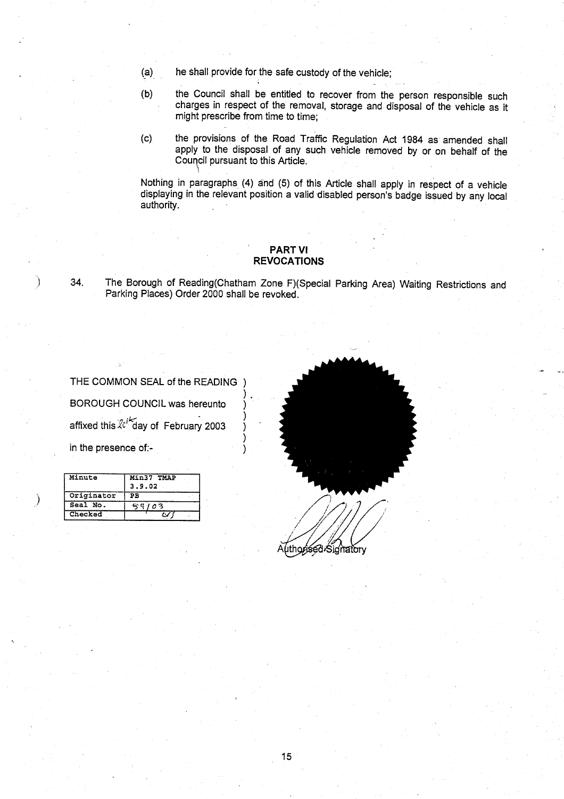- (a) he shall provide for the **safe** custody of the vehicle ;
- (b) the Council shall be entitled to recover from the person responsible such charges in respect of the removal, storage and disposal of the vehicle as it might prescribe from time to time ;
- (c) the provisions of the Road Traffic Regulation Act 1984 as amended shall apply to the disposal of any such vehicle removed by or on behalf of the Council pursuant to this Article .

Nothing in paragraphs (4) and (5) of this Article shall apply in respect of a vehicle displaying in the relevant position a valid disabled person's badge issued by any local authority .

# PART VI REVOCATIONS

34. The Borough of Reading(Chatham Zone F)(Special Parking Area) Waiting Restrictions and Parking Places) Order 2000 shall be revoked.

THE COMMON SEAL of the READING ) BOROUGH COUNCIL was hereunto affixed this  $\&^i$  day of February 2003 in the presence of:-

| Minute     | Min37 TMAP<br>3.9.02 |  |  |
|------------|----------------------|--|--|
| Originator | PВ                   |  |  |
| Seal No.   | 42 G<br>03           |  |  |
| Checked    |                      |  |  |

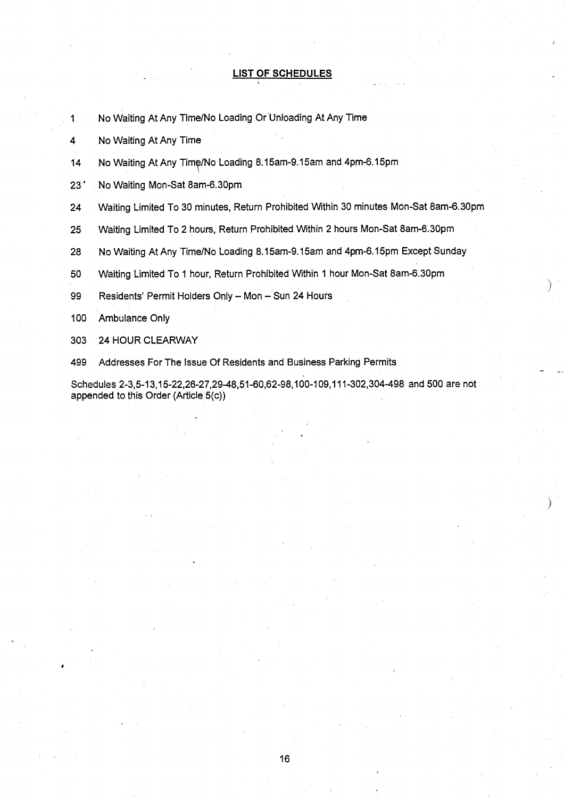# LIST OF **SCHEDULES**

- 1 No Waiting At Any Time/No Loading Or Unloading At Any Time
- 4 No Waiting At Any Time
- 14 No Waiting At Any Time/No Loading 8.15am-9.15am and 4pm-6.15pm
- 23' No Waiting Mon-Sat 8am-6.30pm
- 24 Waiting Limited To 30 minutes, Return Prohibited Within 30 minutes **Mon-Sat 8am**-6.30pm
- 25 Waiting Limited To 2 hours, Return Prohibited Within 2 hours **Mon-Sat** 8am-6.30pm
- 28 No Waiting At Any Time/No Loading **8.15am-9**.15am and 4pm-6.15pm Except Sunday
- 50 Waiting Limited To 1 hour, Return Prohibited Within 1 hour Mon-Sat 8am-6.30pm
- 99 Residents' Permit Holders Only Mon Sun 24 Hours
- 100 Ambulance Only
- 303 24 HOUR CLEARWAY
- 499 Addresses For The Issue Of Residents **and Business** Parking Permits

Schedules 2-3,5-13,15-22,26-27,29-48,51-60,62-98,100-109,111-302,304-498 and **500 are not** appended to this Order (Article 5(c))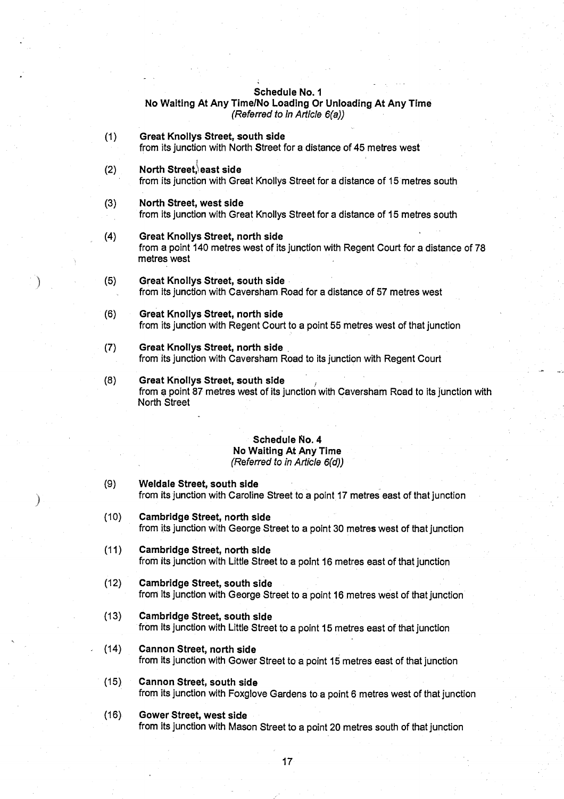# **Schedule No.** I **No Waiting At** Any Time/**No Loading Or Unloading** At Any Time (Referred to in Article 6(a))

- **(1) Great Knollys Street**, **south side** from its junction with North Street for a distance of 45 metres west
- **(2)** North Street, east side from its junction with Great Knollys Street for a distance of 15 metres south
- **(3) No**rt**h Street, west side** from its junction with Great Knollys Street for a distance of 15 metres south
- (4) Great **Knollys Street**, **no**rt**h side** from a point 140 metres west of its junction with Regent Court for a distance of 78 metres west
- (5) Great **Knollys Street**, **south side** from its junction with Caversham Road for a distance of 57 metres west
- **(6) Great Knollys Street**, **no**rt**h side** from its junction with **Regent** Court to a point 55 metres west of that junction
- (7) Great **Knollys Street**, **no**rt**h side** from its junction with Caversham Road to its junction with Regent Court
- **(8) Great Knollys Street**, **south side ,** from a point 87 metres west of its junction with Caversham Road to its junction with North Street

# **Schedule No. 4 No Waiting At** Any Time (Referred to in Article 6(d))

- **(9) Weldale Street**, **south side** from its junction with Caroline Street to a point 17 metres east of that junction
- (10) Cambridge **Street, no**rt**h side** from its junction with George Street to a point 30 metres west of that junction
- **(11) Cambridge Street, no**rt**h side** from its junction with Little Street to a point 16 metres east of that junction
- **(12) Cambridge Street**, **south sid <sup>e</sup>** from its junction with George **Street** to a point 16 metres west of that junction
- **(13) Cambridge Street, south sid e** from its junction with Little **Street** to a point 15 **metres east** of that junction
- **(14) Cannon Street**, **no**rt**h side** from its junction with Gower **Street to a point 15 metres east of** that junction
- **(15) Cannon Street**, **south side** from its junction with Foxglove Gardens to a point **6 metres** west of that junction
- **(16) Gower Street**, **west side** from its junction with **Mason Street** to a point 20 metres south of that junction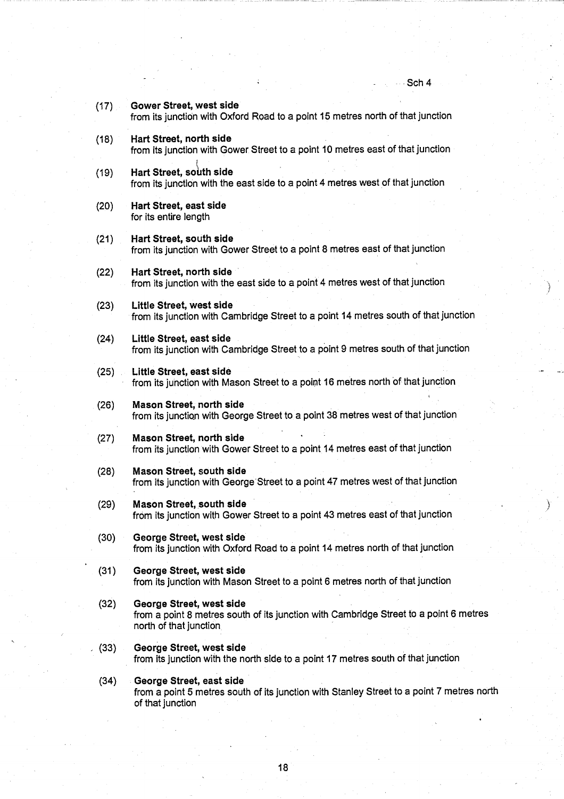----- -- --- - ---

**(17) Gower Street**, **west side** from its junction with Oxford Road to a point 15 metres north of that junction (18) Hart **Street, no**rt**h side** from its junction with Gower Street to a point **10 metres east** of that junction **(19) Hart Street**, **south side** from its junction with the east side to a point 4 metres west of that junction **(20) Ha**rt **Street**, **east side** for its entire length **(21) Ha**rt **Street**, **south side** from its junction with Gower Street to a point **8 metres** east of that junction (22) Hart **Street**, **no**rt**h side** from its junction with the **east side to a** point 4 metres west of that junction (23) Little **Street**, **west side** from its junction with Cambridge Street to a point 14 metres south of that junction (24) Little **Street, east sid <sup>e</sup>** from its junction with Cambridge Street to a point 9 metres south of that junction (25) Little **Street, east sid <sup>e</sup>** from its junction with Mason Street to a point **16 metres** north of that junction **(26) Mason Street**, **no**rt**h side** from its junction with George Street to a point 38 metres west of that junction **(27) Mason Street**, **no**rt**h side** from its junction with Gower Street to a point 14 metres east of that junction **(28) Mason Street**, **south side** from its junction with George Street to a point 47 metres west of that junction **(29) Mason Street**, **south side** from its junction with Gower Street to a point 43 metres east of that junction **(30) George Street**, **west .side** from its junction with Oxford Road to a point 14 metres north of that junction **(31) George Street, west side** from its junction with **Mason Street to a** point 6 metres north of that junction **(32) George Street**, **west side** from a point 8 metres south of its junction with Cambridge **Street to a point 6 metres** north of that junction, **(33) George Street**, **west side** from its junction with the north side to a point 17 metres south of that junction **(34)** George Street, east side from **a point 5 metres** south of its junction with Stanley **Street to** a point 7 metres north of that junction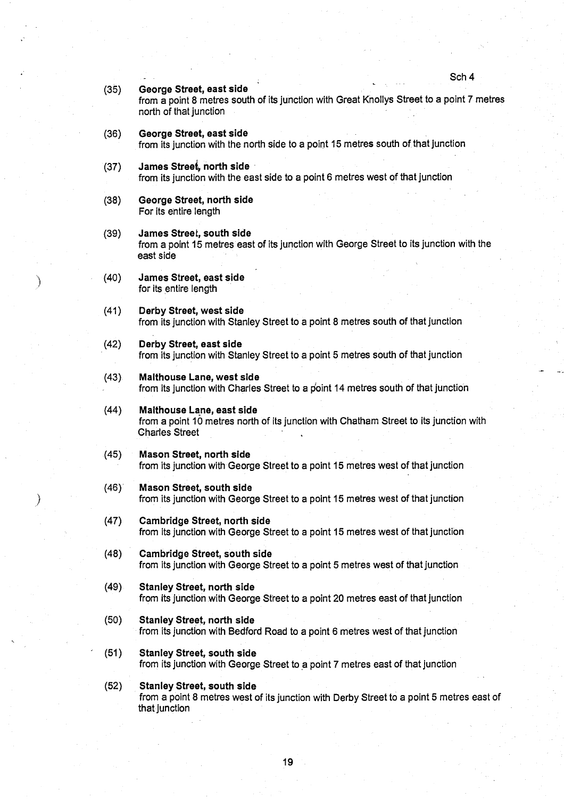#### **(35) George Street**, **east side**

from **a point** 8 metres south of its junction with Great Knollys Street to a point 7 metres north of that junction

#### **(36) George Street**, **east side** from its junction with the north **side to** a point 15 metres south of, that junction

#### **(37) James** Stree~ **no**rt**h side** from its junction with the east **side to a** point 6 metres west of that junction

- **(38) George Street**, **no**rt**h side** For its entire length
- **(39) James Street, south side** from a point **15 metres east** of its junction with George Street to its junction with the **east side**
- (40) James **Street**, **east side** for its **entire length**

Ì

- **(41) Derby Street**, **west side** from its junction with Stanley Street to a point 8 metres south of that junction
- (42) Derby **Street**, **east side** from its junction with Stanley Street to a point 5 metres south of that junction
- **(43) Malthouse Lane, west side** from its junction with Charles Street to a point 14 metres south of that junction
- **(44) Malthouse Lane**, **east side** from a point 10 metres north of its junction with Chatham Street to its junction with Charles Street
- **(45) Mason Street**, **no**rt**h side** from its junction with George Street **to a point 15 metres** west of that junction
- **(46)' Mason Street**, **south side** from its junction with George Street to a point 15 **metres west** of that junction
- (47) Cambridge **Street**, **no**rt**h side** from its junction with George Street to a point 15 **metres west** of that junction
- **(48) Cambridge Street**, **south side** from its junction with George **Street to a point 5 metres west** of that junction
- **(49) Stanley Street**, **no**rt**h side** from its junction with George Street to a point **20 metres east** of that junction
- **(50) Stanley Street, no** rt**h side** from its junction with Bedford Road to a point **6 metres west** of that junction
- **(51) Stanley Street**, **south side** from its junction with George Street to a point 7 metres east of that junction
- **(52) Stanley Street**, **south side** from a point 8 **metres west** of its junction with Derby Street to a point **5 metres east of** that junction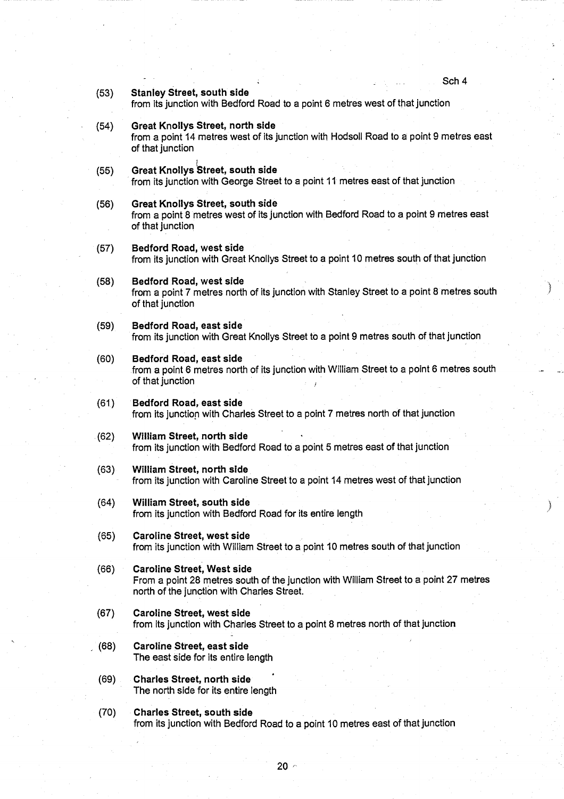Sch 4 **(53) Stanley Street, south side** from its junction with Bedford Road to a point 6 metres west of that junction **(54) Great Knollys Street**, **north side** from a point 14 metres west of its junction with Hodsoll Road to a point **9 metres east** of that junction **(55)** Great Knollys Street, south side from its junction with George Street to a point 11 metres east of that junction **(56) Great Knollys Street**, **south side** from a point 8 metres west of its junction with Bedford Road to a point 9 metres east of that junction (57) Bedford **Road, west side** from its junction with Great Knollys Street to a point 10 metres south of that junction **(58) Bedford Road**, **west side** from a point 7 metres north of its junction with Stanley Street to a point 8 metres south of that junction **(59) Bedford Road**, **east side** from its junction with Great Knollys Street to a point 9 metres south of that junction **(60) Bedford Road**, **east side** from a point 6 metres north of its junction with William Street to a point 6 metres south of that junction **(61) Bedford Road**, **east side** from its junction with Charles Street to a point 7 metres north of that junction (62) William **Street**, **no**rt**h side** from its junction with Bedford Road to a point 5 metres **east of** that junction (63) William **Street**, **no**rt**h side** from its junction with Caroline Street to a point 14 metres west of that junction (64) William **Street**, **south side** from its junction with Bedford Road for its entire length **(65) Caroline Street**, **west side** from its junction with William Street to a point 10 metres south of that junction **(66) Caroline Street**, **West side** From a point 28 metres south of the junction with William Street to a point 27 metres north of the junction with Charles Street. **(67) Caroline Street**, **west side** from its junction with Charles Street to a point 8 metres north of that junction **(68) Caroline Street**, **east side** The east side for **its entire length (69) Charles Street**, **no**rt**h side** The north side for its entire length (70) Charles **Street**, **south side** from its junction with Bedford Road to a point **10 metres east** of that junction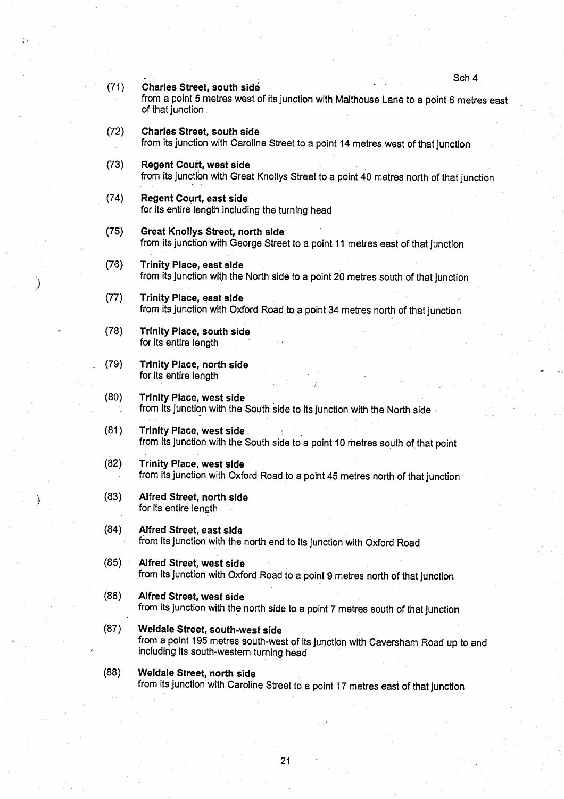| (71) | <b>OUI 4</b><br><b>Charles Street, south side</b><br>from a point 5 metres west of its junction with Malthouse Lane to a point 6 metres eas<br>of that junction. |
|------|------------------------------------------------------------------------------------------------------------------------------------------------------------------|
| (72) | <b>Charles Street, south side</b><br>from its junction with Caroline Street to a point 14 metres west of that junction.                                          |
| (73) | Regent Court, west side<br>from its junction with Great Knollys Street to a point 40 metres north of that junction                                               |
| (74) | <b>Regent Court, east side</b><br>for its entire length including the turning head                                                                               |
| (75) | <b>Great Knollys Street, north side</b><br>from its junction with George Street to a point 11 metres east of that junction                                       |
| (76) | <b>Trinity Place, east side</b><br>from its junction with the North side to a point 20 metres south of that junction                                             |
| (77) | <b>Trinity Place, east side</b><br>from its junction with Oxford Road to a point 34 metres north of that junction                                                |
| (78) | <b>Trinity Place, south side</b><br>for its entire length                                                                                                        |
| (79) | <b>Trinity Place, north side</b><br>for its entire length                                                                                                        |
| (80) | <b>Trinity Place, west side</b><br>from its junction with the South side to its junction with the North side                                                     |
| (81) | <b>Trinity Place, west side</b><br>from its junction with the South side to a point 10 metres south of that point                                                |
| (82) | <b>Trinity Place, west side</b><br>from its junction with Oxford Road to a point 45 metres north of that junction                                                |
| (83) | Alfred Street, north side<br>for its entire length                                                                                                               |
| (84) | Alfred Street, east side<br>from its junction with the north end to its junction with Oxford Road                                                                |
| (85) | Alfred Street, west side<br>from its junction with Oxford Road to a point 9 metres north of that junction                                                        |
| (86) | Alfred Street, west side<br>from its junction with the north side to a point 7 metres south of that junction                                                     |
| (87) | Weldale Street, south-west side<br>from a point 195 metres south-west of its junction with Caversham Road up to and<br>including its south-western turning head  |
| (88) | Weldale Street, north side<br>from its junction with Caroline Street to a point 17 metres east of that junction                                                  |
|      |                                                                                                                                                                  |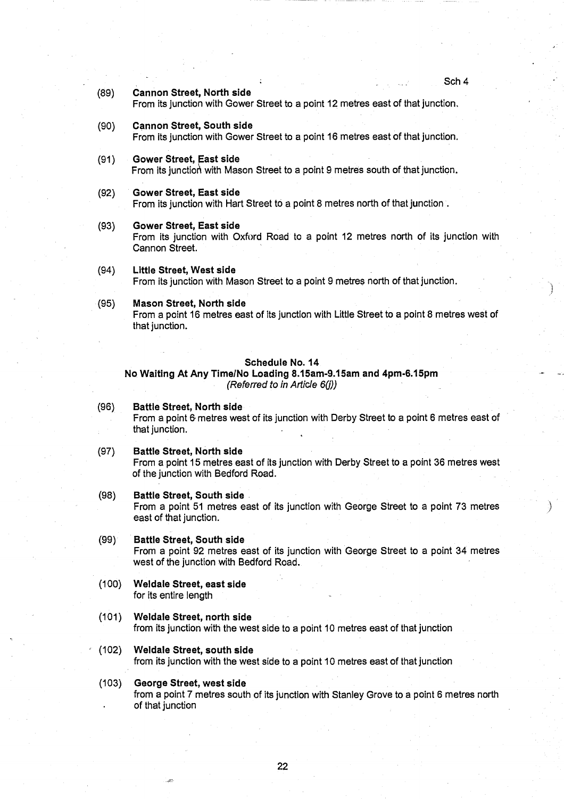## **(89) Cannon Street**, **No**rt**h side**

From its junction with Gower Street to a point 12 metres **east** of that junction .

# **(90) Cannon Street**, **South side**

From its junction with Gower Street to a point **16 metres east** of that junction .

#### **(91) Gower Street, East side**

From its junction with Mason Street to a point 9 metres south of that junction.

#### **(92) Gower Street**, **East side**

From its junction with Hart Street to a point 8 metres north of that junction.

#### **(93) Gower Street**, **East side**

From its junction with Oxford Road to a point 12 metres north of its junction with Cannon Street.

# (94) Little **Street**, **West side** From its junction with Mason Street to a point 9 metres north of that junction .

#### **(95) Mason Street**, **North side**

From a point 16 metres **east of its** junction with Little Street to a point 8 metres west of that junction.

#### **Schedule No. 1 4**

**No Waiting** At Any **Time/No Loading 8 .15am**-**9.15am and 4pm-6.15pm** *(Referred* to *in Article 6(j))*

## **(96) Battle Street**, **North side** From a point 6 metres west of its junction with Derby Street to a point 6 metres east of that junction.

# **(97) Battle Street**, **No**rt**h sid <sup>e</sup>**

from a point 15 metres east of its junction with Derby Street to a point 36 metres west of the junction with Bedford Road.

#### **(98) Battle Street**, **South side**

From a point 51 metres east of its junction with George Street to a point 73 metres east of that junction.

# **(99) Battle Street**, **South side**

From a point 92 metres east of its junction with George Street to a point 34 metres west of the junction with Bedford Road.

- **(100) Weldale Street**, **east side** for its entire length
- **(101) Weldale Street**, **no**rt**h side** from its junction with the west **side to a** point 10 metres **east of that** junction
- **(102) Weldale Street**, **south side** from its junction with the **west side** to a point 10 **metres east** of that junction
- **(103) George Street**, **west side** from a point 7 metres south of its junction with Stanley Grove to a point 6 metres north of that junction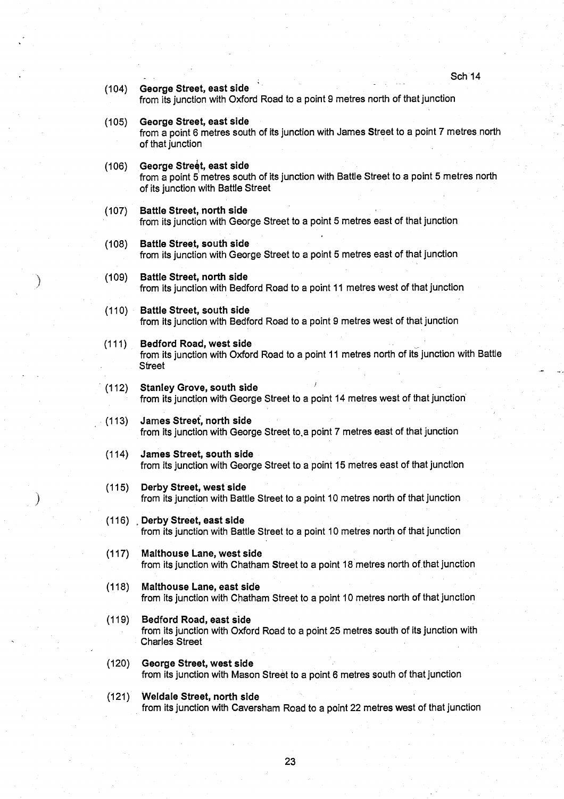- Sch 14
- (104) George **Street**, **east side** from its junction with Oxford Road to a point 9 metres north of that junction
- (105) George **Street**, **east side**

from a point 6 metres south of its junction with James Street to a point 7 metres north of that junction

- **(106)** George Street, east side from a point 5 metres south of its junction with Battle Street to a point 5 metres north of its junction with Battle Street
- (107) Battle **Street**, **no**rt**h side** from its junction with George Street to a point 5 metres east of that junction
- **(108) Battle Street**, **south side** from its junction with George Street to a point 5 metres east of that junction
- (109) Battle **Street**, **no**rt**h side** from its junction with Bedford Road to a point 11 metres west of that junction
- **(110) Battle Street**, **south side** from its junction with Bedford Road to a point 9 metres west of that junction
- **(111) Bedford Road**, **west side** from its junction with Oxford Road to a point 11 metres north of its junction with Battle **Street**
- (112) Stanley Grove, **south side** from its junction with George Street to a point 14 metres west of that junction
- (113) James **Street**, north side from its junction with George Street to,a point 7 metres east of that junction
- (114) James **Street**, **south side** from its junction with George Street to a point 15 metres east of that junction
- (115) Derby **Street**, **west side** from its junction with Battle Street to a point 10 metres north of that junction
- (116) Derby **Street**, **east side** from its junction with Battle Street to a point 10 metres north of that junction
- (117) Malthouse **Lane**, **west side** from its junction with Chatham Street to a point 18 metres north of that junction
- **(118) Malthouse Lane** , **east side** from its junction with Chatham Street to a point 10 metres north of that junction
- (119) Bedford **Road, east side** from its junction with Oxford Road to a point 25 metres south of its junction with Charles Street
- (120) George **Street**, **west side** from its junction with Mason Street to a point 6 metres south of that junction
- **(121) Weldale Street**, **no**rt**h side** from its junction with Caversham Road to a point 22 metres west of that junction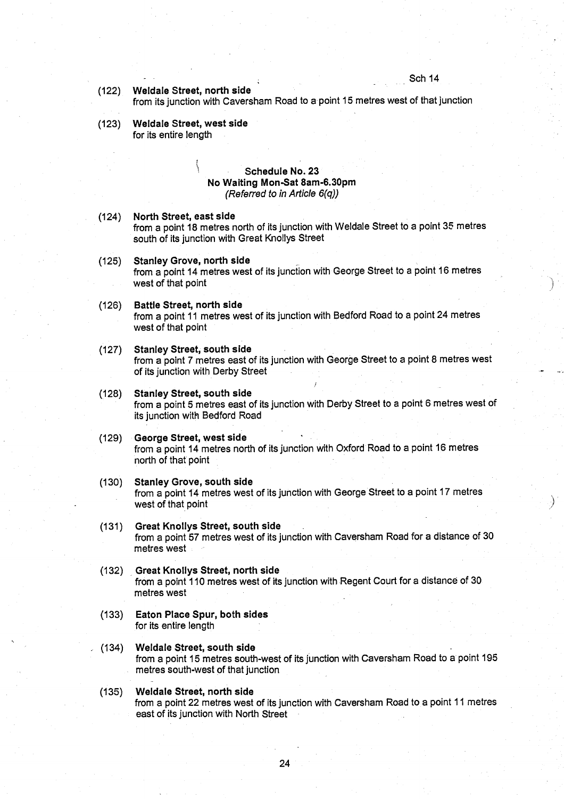# **(122) Weldale Street, north side**

from its junction with Caversham Road to a-point 15 metres west of that junction

**(123) Weldale Street, west sid e** for its entire length

# **Schedule No. 23 No Waiting Mon-Sat 8am-6 .30pm** *(Referred to in Article 6(q))*

- (124) North **Street**, **east side** from a point 18 metres north of its junction with Weldale Street to a point 35 metres south of its junction with Great Knollys Street
- **(125) Stanley Grove**, **no** rt**h side** from a point 14 metres west of its junction with George Street to a point 16 metres west of that point

## **(126) Battle Street**, **no**rt**h side** from a point 11 metres west of its junction with Bedford Road to a point 24 metres west of that point

- (127) Stanley **Street**, **south side** from a point 7 metres east of its junction with George Street to a point 8 metres west of its junction with Derby Street
- **(128) Stanley Street**, **south side** from a point 5 metres **east of its** junction with Derby Street to a point 6-metres west of its junction with Bedford Road
- **(129) George Street**, **west side** from a point 14 metres north of its junction with Oxford Road to a point 16 metres north of that point
- (130) Stanley **Grove**, **south side** from a point 14 metres west of its junction with George Street to a point 17 metres west of that point
- **(131) Great Knollys Street**, **south side** from a point 57 metres west of its junction with Caversham Road for a distance of 30 metres west
- **(132) Great Knollys Street, no** rt**h side** from a point 110 metres west of its junction with Regent Court for a distance of 30 **metres west**
- **(133) Eaton Place Spur**, **both sides** for its entire length
- (134) Weldale **Street**, **south side** from a point 15 **metres south**-west of its junction with Caversham Road to a point 195 metres south-west of that junction
- **(135) Weldale Street, no**rt**h side** from a point 22 metres west of its junction with Caversham **Road** to a point 11 metres east of its junction with North Street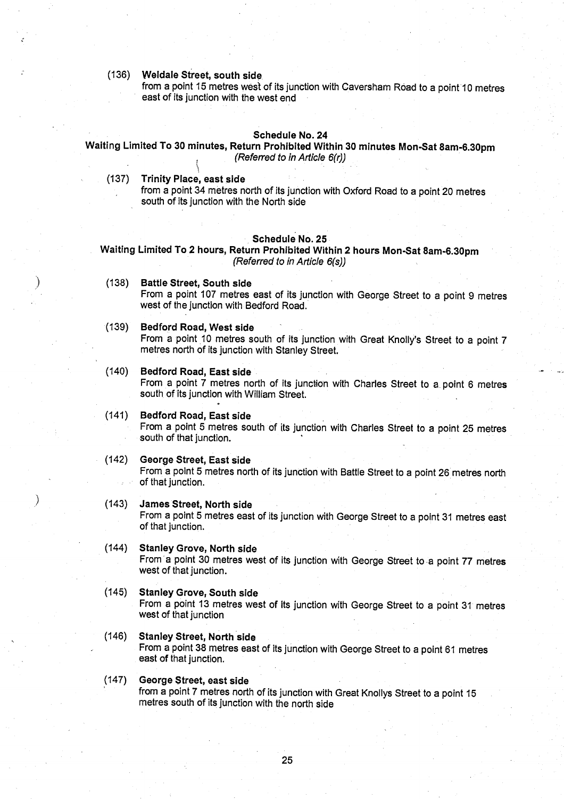#### (**136) Weldale Street** , **south side.**

**from a point 15 metres west of its junction with Caversham Road to a point 10 metres east of its junction with the west end**

#### **Schedule No. 24**

# **Waiting Limited To 30 minutes**, **Return Prohibited Within 30 minutes Mon-Sat 8am-6.30pm** *(Referred to in Article 6(r))*

**(137) Trinity Place**, **east side**

**from a point 34 metres north of its junction with Oxford Road to a point 20 metres** south of its junction with the North side

# **Schedule No . 25**

**Waiting Limited To 2 hours**, **Return Prohibited Within 2 hours Mon-Sat** 8**am**-**6.30pm (Referred to in Article 6(s))**

**(138) Battle Street**, **South side From a point 107 metres east of its junction with George Street to a point 9 metres west of the junction with Bedford Road .** Schedule No. 25<br> **metres 16 and The Schedule No. 25**<br> **metres 16 and 107 metres east of its junction with George Street to a point 9 metre<br>
west of the junction with Bedford Road.<br>
<b>Bedford Road, West side**<br> **From a point** 

# **(139) Bedford Road**, **West side**

From a point 10 metres south of its junction with Great Knolly's Street to a point 7 metres north of its junction with Stanley Street.

- **(140) Bedford Road** , **East side From a point 7 metres north of its junction with Charles Street to a point 6 metres south of its junction with William Street .**
- **(141) Bedford Road**, **East side From a point 5 metres south of its junction with Charles Street to a point 25 metres south of that junction .**

#### **(142) George Street**, **East side**

From a point 5 metres north of its junction with Battle Street to a point 26 metres north **of that junction .**

**(143) James Street**, **North side**

**From a point 5 metres east of its junction with George Street to a point 31 metres east of that junction .**

**(144) Stanley Grove, No**rt**h side** From a point 30 metres west of its junction with George Street to a point 77 metres **west of that junction.**

# **(145) Stanley Grove, South side**

**From a point 13 metres west of its junction with George Street to a point 31 metres** west of that junction

- **(146) Stanley Street, No** rt**h side From a point 38 metres east of its junction with George Street to a point 61 metres east of that junction.**
- **(147) George Street, east side from a point 7 metres no**rt**h of its junction with Great Knollys Street to a point 15** metres south of its junction with the north side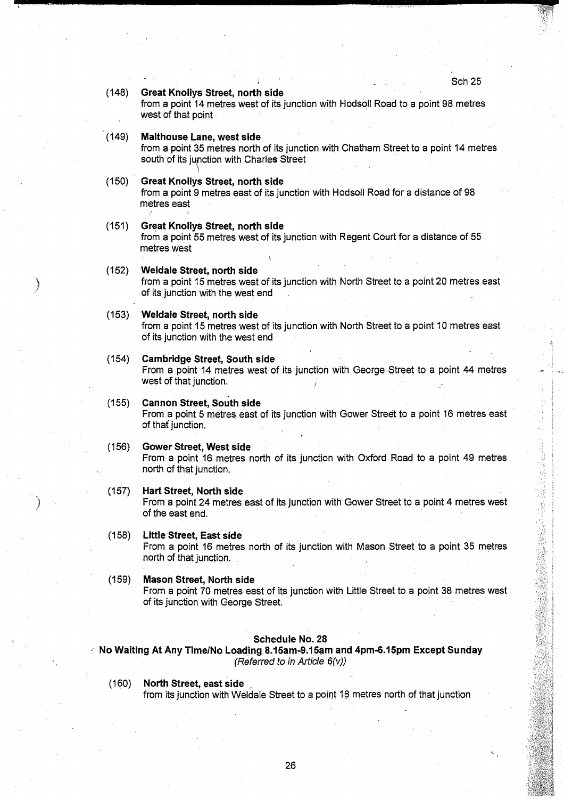计数据数据 计数据编码 化硫酸盐 医精神病

# **(148) Great Knollys Street** , **north side**

from a point 14 metres west of its junction with Hodsoll Road to a point 98 metres west of that point

# **(149)** Malthouse Lane, west side

from a point 35 metres north of its junction with Chatham Street to a point 14 metres south of its junction with Charles Street

# **(150) Great Knollys Street** , **north side**

from a point 9 metres east of its junction with Hodsoll Road for a distance of 98 metres east

#### **(151) Great Knollys Street, no**rt**h side**

from a point 55 metres west of its junction with Regent Court for a distance of 55 metres west

# **(152) Weldale Street, no** rt**h side**

from a point 15 metres west of its junction with North Street to a point 20 metres east of its junction with the west end

#### **(153) Weldale Street**, **no**rt**h side**

from a point 15 metres west of its junction with North Street to a point 10 metres east of its junction with the west end

# (154) Cambridge **Street**, **South side**

From a point 14 metres west of its junction with George Street to a point 44 metres west of that junction.

## **(155) Cannon Street** , **South side**

From a point 5 metres east of its junction with Gower Street to a point 16 metres east of that junction.

## **(156) Gower Street**, **West side**

From a point 16 metres north of its junction with Oxford Road to a point 49 metres north of that junction.

# (157) Hart **Street**, **North side**

From a point 24 metres east of its junction with Gower Street to a point 4 metres west of the east end.

# (158) Little **Street**, **East sid e**

From a point 16 metres north of its junction with Mason Street to a point 35 metres north of that junction.

# **(159) Mason Street**, **North side**

From a point 70 metres east of its junction with Little Street to a point 38 metres west of its junction with George Street.

#### **Schedule No. 28**

**No Waiting** At Any Time/**No Loading 8.15am**-**<sup>9</sup> .15am and 4pm-6**.**15pm Except Sunday** (Referred to in Article 6(v))

# (160) North **Street, east sid e**

from its junction with Weldale Street to a point 18 metres north of that junction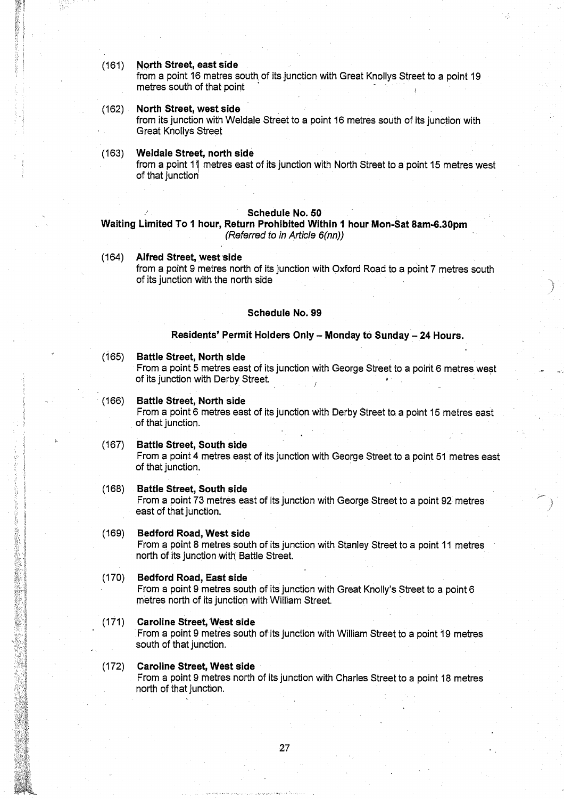**(161) North Street**, **east side**

from a point 16 metres south of its junction with Great Knollys Street to a point 19 metres south of that point

## **(162)** North Street, west side

from its junction with Weldale Street to a point 16 metres south of its junction with Great Knollys Street

# **(163) Weldale Street, no** rt**h side**

from a point 11 metres east of its junction with North Street to a point 15 metres west of that junction

#### **Schedule No. 50**

# **Waiting Limited To 1 hour**, **Return Prohibited Within 1 hour Mon-Sat 8am-6.30pm** (Referred to *in Article 6(nn))*

(164) Alfred **Street**, **west side**

from a point 9 metres north of its junction with Oxford Road to a point 7 metres south of its junction with the north side

#### **Schedule No. 99**

## **Residents**' **Permit Holders Only - Monday to Sunday** - **24 Hours .**

## **(165) Battle Street**, **No**rt**h side**

From a point 5 metres east of its junction with George Street to a point 6 metres west of its junction with Derby Street.

# **(166) Battle Street**, **No**rt**h side**

From a point 6 metres east of its junction with Derby Street to a point 15 metres east of that junction.

#### **(167) Battle Street**, **South side**

From a point 4 metres east of its junction with George Street to a point 51 metres east of that junction .

# **(168) Battle Street**, **South side**

From a point 73 metres east of its junction with George Street to a point 92 metres east of that junction.

#### **(169) Bedford Road**, **West side**

(2002年) 2002年)

From a point 8 metres south of its junction with Stanley Street to a point 11 metres north of its junction with. Battle Street.

#### **(170) Bedford Road, East side**

From a point 9 metres south of its junction with Great Knolly's Street to a point 6 metres north of its junction with William Street.

#### **(171) Caroline Street**, **West sid <sup>e</sup>**

From a point 9 metres south of its junction with William Street to a point 19 metres south of that junction.

#### (172) Caroline **Street**, **West side**

From a point 9 metres north of its junction with Charles Street to a point 18 metres north of that junction.

27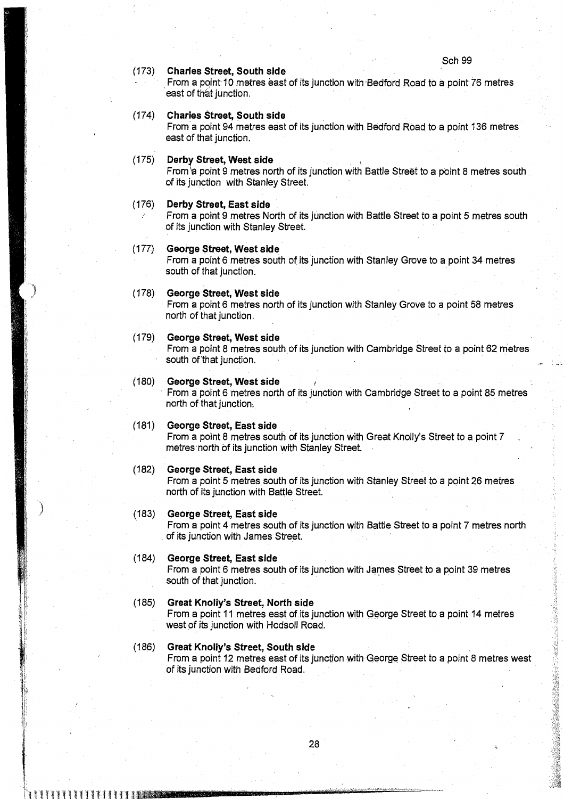#### (173) Charles **Street, South side**

From a point 10 metres east of its junction with-Bedford Road to a point 76 metres east of that junction.

# (174) Charles **Street, South sid e**

From a point 94 metres east of its junction with Bedford Road to a point 136 metres east of that junction.

#### (175) Derby Street, **West side**

From  $\alpha$  point 9 metres north of its junction with Battle Street to a point 8 metres south of its junction with Stanley Street.

#### (176) Derby **Street**, **East side**

From a point 9 metres North of its junction with Battle Street to a point 5 metres south of its junction with Stanley Street.

#### (177) George **Street, West side**

From a point 6 metres south of its junction with Stanley Grove to a point 34 metres south of that junction.

#### (178) George **Street**, **West side**

From a point 6 metres north of its junction with Stanley Grove to a point 58 metres north of that junction.

#### (179) George **Street, West side**

From a point 8 metres south of its junction with Cambridge Street to a point 62 metres south of that junction.

# **(180)** George Street, West side

From a point 6 metres north of its junction with Cambridge Street to a point 85 metres north of that junction.

## **(181) George Street, East side**

From a point 8 metres south of its junction with Great Knolly's Street to a point 7 metres north of its junction with Stanley Street.

#### (182) George **Street, East side**

From a point 5 metres south of its junction with Stanley Street to a point 26 metres north of its junction with Battle Street.

#### (183) George **Street**, **East side**

From a point 4 metres south of its junction with Battle Street to a point 7 metres north of its junction with James Street.

# (184) George **Street**, **East side**

71,

From a point 6 metres south of its junction with James Street to a point 39 metres south of that junction.

## (185) Great Knolly**'s Street**, **North side**

From a point 11 metres east of its junction with George Street to a point 14 metres west of its junction with Hodsoll Road.

#### (186) Great Knolly'**s Street**, South side From a point 12 metres east of its junction with George Street to a point 8 metres west of its junction with Bedford Road .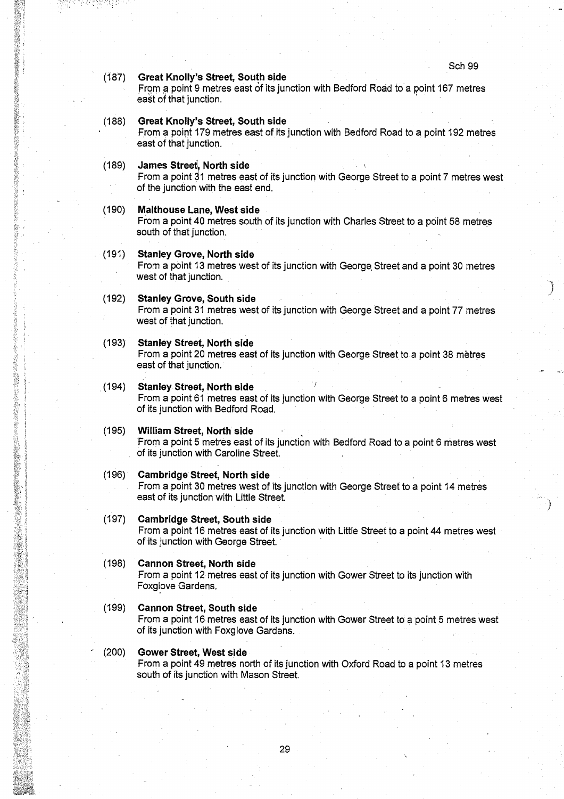#### (187) Great Knolly'**s Street**, **South side**

From a point 9 metres east of its junction with Bedford Road to a point 167 metres east of that junction.

# **(188) Great Knolly**'**s Street**, **South side**

From a point 179 metres east of its junction with Bedford Road to a point 192 metres east of that junction.

#### **(189)** James Street, North side

From a point 31 metres east of its junction with George Street to a point 7 metres west of the junction with the east end.

#### **(190) Malthouse Lane, West sid e**

From a point 40 metres south of its junction with Charles Street to a point 58 metres south of that junction.

# **(191)** Stanley Grove, North side

地理学院

From a point 13 metres west of its junction with George, Street and a point 30 metres west of that junction.

#### **(192) Stanley Grove, South sid e**

From a point 31 metres west of its junction with George Street and a point 77 metres west of that junction.

# **(193) Stanley Street**, **No**rt**h side**

From a point 20 metres east of its junction with George Street to a point 38 metres east of that junction.

# .(194) Stanley **Street**, North **side**

From a point 61 metres east of its junction with George Street to a point 6 metres west of its junction with Bedford Road.

#### **(195) William Street**, **No**rt**h side**

From a point **5 metres east** of its junction with Bedford Road to a point 6 metres west of its junction with Caroline Street.

# **(196) Cambridge Street**, **No**rt**h side**

From a point 30 metres west of its junction with George Street to a point 14 metres east of its junction with Little Street.

# **(197) Cambridge Street**, **South side**

From a point 16 metres east of its junction with Little Street to a point 44 metres west of its junction with George Street.

#### **(198) Cannon Street** , **No**rt**h side**

From a point 12 metres east of its junction with Gower Street to its junction with Foxglove Gardens.

#### **(199) Cannon Street, South side**

From a point 16 metres east of its junction with Gower Street to a point 5 metres west of its junction with Foxglove Gardens.

# (200) Gower **Street**, **West side**

From a point 49 metres north of its junction with Oxford Road to a point 13 metres south of its junction with Mason Street.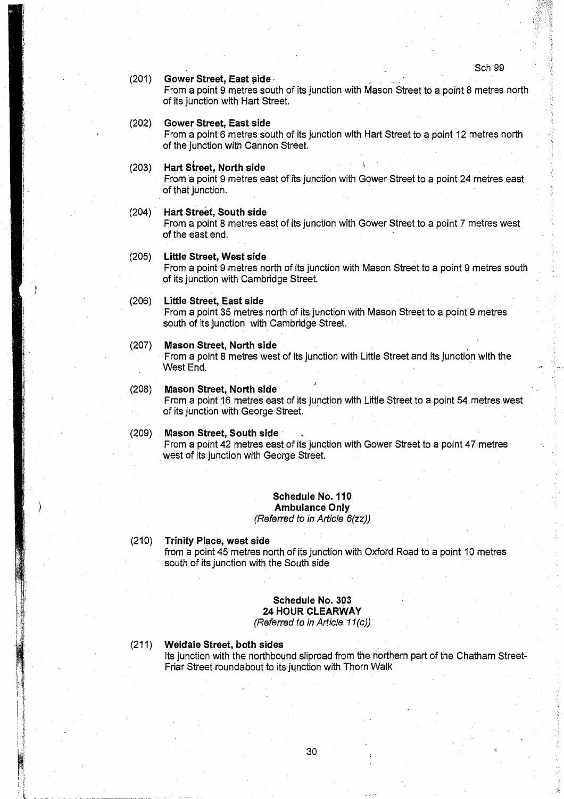## (201) Gower **Street**, **East side**

From a point 9 metres south of its junction with Mason Street to a point 8 metres north of its junction with Hart Street.

# (202) Gower **Street**, **East side**

From a point 6 metres south of its junction with Hart Street to a point 12 metres north of the junction with Cannon Street.

#### (203) Hart **S~reet**, **North side**

From a point 9 metres east of its junction with Gower Street to a point 24 metres east of that junction.

# (204) Hart **Street**, **South side**

From a point 8 metres east of its junction with Gower Street to a point 7 metres west of the east end.

# (205) Little Street**, West side**

From a point 9 metres north of its junction with Mason Street to a point 9 metres south of its junction with Cambridge Street.

# (206) Little **Street**, **East side**

From a point 35 metres north of its junction with Mason Street to a point 9 metres south of its junction with Cambridge Street.

# **(207) Mason Street**, **No**rt**h side**

From a point 8 metres west of its junction with Little Street and its junction with the West End.

#### **(208) Mason Street**, **No**rt**h side**

From a point 16 metres east of its junction with Little Street to a point 54 metres west of its junction with George Street.

## **(209) Mason Street**, **South side**

From a point 42 metres east of its junction with Gower Street to a point 47 metres west of its junction with George Street.

#### **Schedule No. 110 Ambulance Only**

(Referred to in Article 6(zz))

#### (210) Trinity **Place, west side**

from a point 45 metres north of its junction with Oxford Road to a point 10 metres south of its junction with the South side

# Schedule No. 303 24 HOUR CLEARWAY

(Referred to in Article 11(c))

# **(211) Weldale Street**, **both sides**

Its junction with the northbound sliproad from the northern part of the Chatham Street-Friar Street roundabout to its junction with Thorn Walk